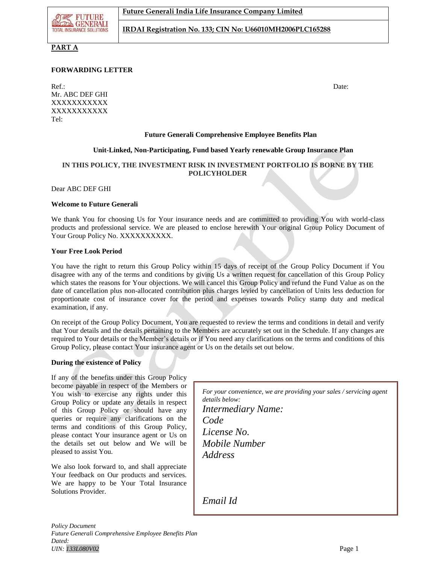**FUTURE BLADE GENERALI TOTAL INSURANCE SOLUTION** 

**IRDAI Registration No. 133; CIN No: U66010MH2006PLC165288**

## **PART A**

## **FORWARDING LETTER**

Ref.: Date: Date: Mr. ABC DEF GHI XXXXXXXXXXX XXXXXXXXXXX Tel:

#### **Future Generali Comprehensive Employee Benefits Plan**

#### **Unit-Linked, Non-Participating, Fund based Yearly renewable Group Insurance Plan**

## **IN THIS POLICY, THE INVESTMENT RISK IN INVESTMENT PORTFOLIO IS BORNE BY THE POLICYHOLDER**

Dear ABC DEF GHI

#### **Welcome to Future Generali**

We thank You for choosing Us for Your insurance needs and are committed to providing You with world-class products and professional service. We are pleased to enclose herewith Your original Group Policy Document of Your Group Policy No. XXXXXXXXXX.

#### **Your Free Look Period**

You have the right to return this Group Policy within 15 days of receipt of the Group Policy Document if You disagree with any of the terms and conditions by giving Us a written request for cancellation of this Group Policy which states the reasons for Your objections. We will cancel this Group Policy and refund the Fund Value as on the date of cancellation plus non-allocated contribution plus charges levied by cancellation of Units less deduction for proportionate cost of insurance cover for the period and expenses towards Policy stamp duty and medical examination, if any.

On receipt of the Group Policy Document, You are requested to review the terms and conditions in detail and verify that Your details and the details pertaining to the Members are accurately set out in the Schedule. If any changes are required to Your details or the Member's details or if You need any clarifications on the terms and conditions of this Group Policy, please contact Your insurance agent or Us on the details set out below.

#### **During the existence of Policy**

If any of the benefits under this Group Policy become payable in respect of the Members or You wish to exercise any rights under this Group Policy or update any details in respect of this Group Policy or should have any queries or require any clarifications on the terms and conditions of this Group Policy, please contact Your insurance agent or Us on the details set out below and We will be pleased to assist You.

We also look forward to, and shall appreciate Your feedback on Our products and services. We are happy to be Your Total Insurance Solutions Provider.

*For your convenience, we are providing your sales / servicing agent details below: Intermediary Name: Code License No. Mobile Number Address*

*Email Id*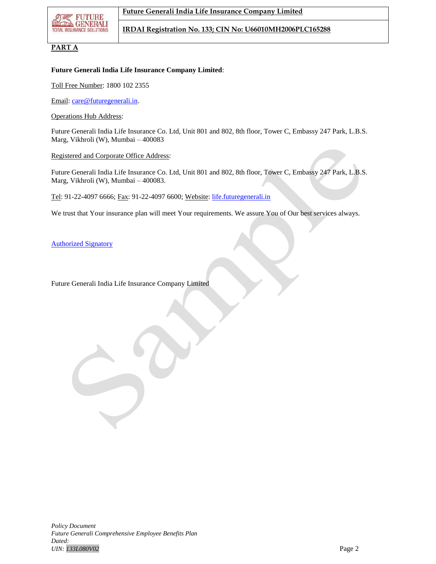

## **PART A**

## **Future Generali India Life Insurance Company Limited**:

Toll Free Number: 1800 102 2355

Email: [care@futuregenerali.in.](mailto:care@futuregenerali.in)

Operations Hub Address:

Future Generali India Life Insurance Co. Ltd, Unit 801 and 802, 8th floor, Tower C, Embassy 247 Park, L.B.S. Marg, Vikhroli (W), Mumbai – 400083

#### Registered and Corporate Office Address:

Future Generali India Life Insurance Co. Ltd, Unit 801 and 802, 8th floor, Tower C, Embassy 247 Park, L.B.S. Marg, Vikhroli (W), Mumbai – 400083.

Tel: 91-22-4097 6666; Fax: 91-22-4097 6600; Website: [life.futuregenerali.in](http://www.futuregenerali.in/)

We trust that Your insurance plan will meet Your requirements. We assure You of Our best services always.

Authorized Signatory

Future Generali India Life Insurance Company Limited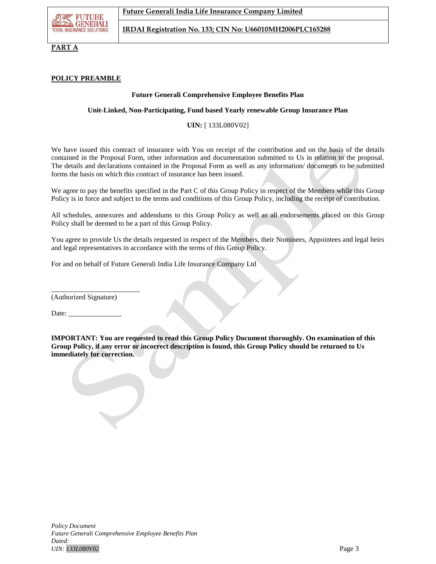**PART A**

## **POLICY PREAMBLE**

## **Future Generali Comprehensive Employee Benefits Plan**

## **Unit-Linked, Non-Participating, Fund based Yearly renewable Group Insurance Plan**

**UIN:** [ 133L080V02]

We have issued this contract of insurance with You on receipt of the contribution and on the basis of the details contained in the Proposal Form, other information and documentation submitted to Us in relation to the proposal. The details and declarations contained in the Proposal Form as well as any information/ documents to be submitted forms the basis on which this contract of insurance has been issued.

We agree to pay the benefits specified in the Part C of this Group Policy in respect of the Members while this Group Policy is in force and subject to the terms and conditions of this Group Policy, including the receipt of contribution.

All schedules, annexures and addendums to this Group Policy as well as all endorsements placed on this Group Policy shall be deemed to be a part of this Group Policy.

You agree to provide Us the details requested in respect of the Members, their Nominees, Appointees and legal heirs and legal representatives in accordance with the terms of this Group Policy.

For and on behalf of Future Generali India Life Insurance Company Ltd

(Authorized Signature)

\_\_\_\_\_\_\_\_\_\_\_\_\_\_\_\_\_\_\_\_\_\_\_\_\_

Date:

**IMPORTANT: You are requested to read this Group Policy Document thoroughly. On examination of this Group Policy, if any error or incorrect description is found, this Group Policy should be returned to Us immediately for correction.**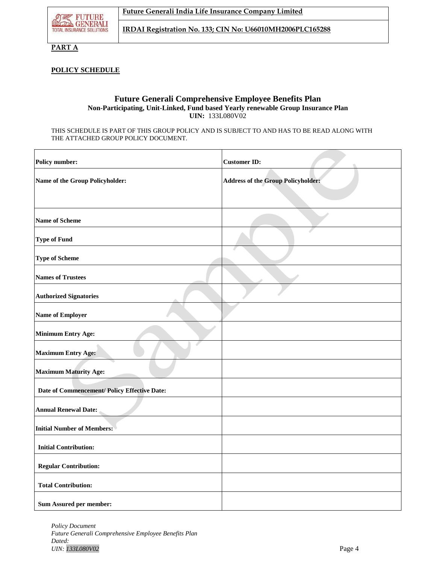

**PART A**

## **POLICY SCHEDULE**

## **Future Generali Comprehensive Employee Benefits Plan Non-Participating, Unit-Linked, Fund based Yearly renewable Group Insurance Plan UIN:** 133L080V02

THIS SCHEDULE IS PART OF THIS GROUP POLICY AND IS SUBJECT TO AND HAS TO BE READ ALONG WITH THE ATTACHED GROUP POLICY DOCUMENT.

| <b>Policy number:</b>                        | <b>Customer ID:</b>                       |
|----------------------------------------------|-------------------------------------------|
| Name of the Group Policyholder:              | <b>Address of the Group Policyholder:</b> |
|                                              |                                           |
| <b>Name of Scheme</b>                        |                                           |
| <b>Type of Fund</b>                          |                                           |
| <b>Type of Scheme</b>                        |                                           |
| <b>Names of Trustees</b>                     |                                           |
| <b>Authorized Signatories</b>                |                                           |
| <b>Name of Employer</b>                      |                                           |
| <b>Minimum Entry Age:</b>                    |                                           |
| <b>Maximum Entry Age:</b>                    |                                           |
| <b>Maximum Maturity Age:</b>                 |                                           |
| Date of Commencement/ Policy Effective Date: |                                           |
| <b>Annual Renewal Date:</b>                  |                                           |
| <b>Initial Number of Members:</b>            |                                           |
| <b>Initial Contribution:</b>                 |                                           |
| <b>Regular Contribution:</b>                 |                                           |
| <b>Total Contribution:</b>                   |                                           |
| <b>Sum Assured per member:</b>               |                                           |

*Policy Document Future Generali Comprehensive Employee Benefits Plan Dated: UIN: 133L080V02* Page 4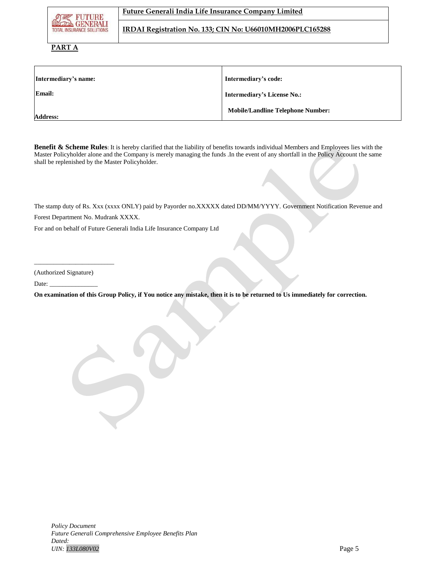| <b>の考 FUTURE</b><br><b>TOTAL INSURANCE SOLUTIONS</b> | Future Generali India Life Insurance Company Limited      |
|------------------------------------------------------|-----------------------------------------------------------|
|                                                      | IRDAI Registration No. 133; CIN No: U66010MH2006PLC165288 |

## **PART A**

| Intermediary's name: | Intermediary's code:                     |
|----------------------|------------------------------------------|
| <b>Email:</b>        | <b>Intermediary's License No.:</b>       |
| <b>Address:</b>      | <b>Mobile/Landline Telephone Number:</b> |

**Benefit & Scheme Rules**: It is hereby clarified that the liability of benefits towards individual Members and Employees lies with the Master Policyholder alone and the Company is merely managing the funds .In the event of any shortfall in the Policy Account the same shall be replenished by the Master Policyholder.

The stamp duty of Rs. Xxx (xxxx ONLY) paid by Payorder no.XXXXX dated DD/MM/YYYY. Government Notification Revenue and

Forest Department No. Mudrank XXXX.

For and on behalf of Future Generali India Life Insurance Company Ltd

(Authorized Signature)

\_\_\_\_\_\_\_\_\_\_\_\_\_\_\_\_\_\_\_\_\_\_\_\_\_

Date:

**On examination of this Group Policy, if You notice any mistake, then it is to be returned to Us immediately for correction.**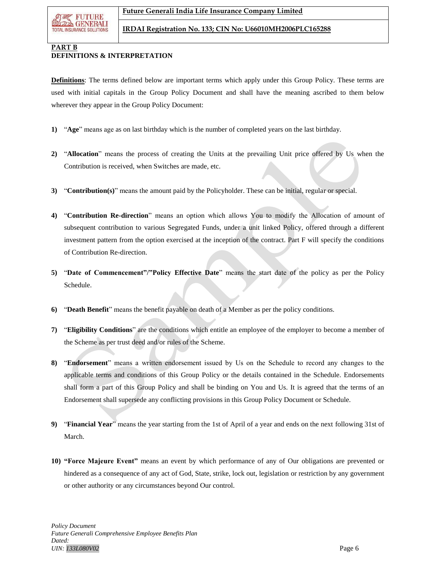

# **PART B**

## **DEFINITIONS & INTERPRETATION**

**Definitions**: The terms defined below are important terms which apply under this Group Policy. These terms are used with initial capitals in the Group Policy Document and shall have the meaning ascribed to them below wherever they appear in the Group Policy Document:

- **1)** "**Age**" means age as on last birthday which is the number of completed years on the last birthday.
- **2)** "**Allocation**" means the process of creating the Units at the prevailing Unit price offered by Us when the Contribution is received, when Switches are made, etc.
- **3)** "**Contribution(s)**" means the amount paid by the Policyholder. These can be initial, regular or special.
- **4)** "**Contribution Re-direction**" means an option which allows You to modify the Allocation of amount of subsequent contribution to various Segregated Funds, under a unit linked Policy, offered through a different investment pattern from the option exercised at the inception of the contract. Part F will specify the conditions of Contribution Re-direction.
- **5)** "**Date of Commencement"/"Policy Effective Date**" means the start date of the policy as per the Policy Schedule.
- **6)** "**Death Benefit**" means the benefit payable on death of a Member as per the policy conditions.
- **7)** "**Eligibility Conditions**" are the conditions which entitle an employee of the employer to become a member of the Scheme as per trust deed and/or rules of the Scheme.
- **8)** "**Endorsement**" means a written endorsement issued by Us on the Schedule to record any changes to the applicable terms and conditions of this Group Policy or the details contained in the Schedule. Endorsements shall form a part of this Group Policy and shall be binding on You and Us. It is agreed that the terms of an Endorsement shall supersede any conflicting provisions in this Group Policy Document or Schedule.
- **9)** "**Financial Year**" means the year starting from the 1st of April of a year and ends on the next following 31st of March.
- **10) "Force Majeure Event"** means an event by which performance of any of Our obligations are prevented or hindered as a consequence of any act of God, State, strike, lock out, legislation or restriction by any government or other authority or any circumstances beyond Our control.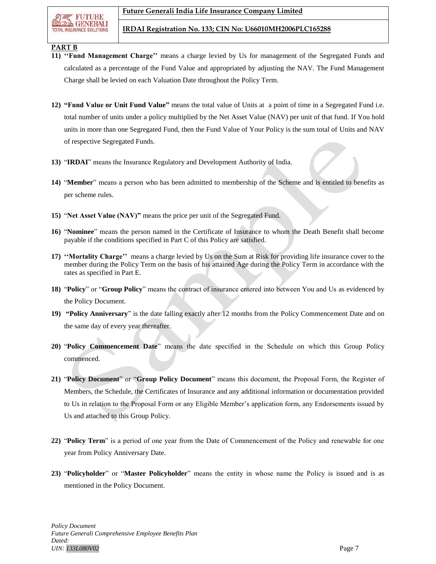

## **PART B**

- **11) ''Fund Management Charge''** means a charge levied by Us for management of the Segregated Funds and calculated as a percentage of the Fund Value and appropriated by adjusting the NAV. The Fund Management Charge shall be levied on each Valuation Date throughout the Policy Term.
- **12) "Fund Value or Unit Fund Value"** means the total value of Units at a point of time in a Segregated Fund i.e. total number of units under a policy multiplied by the Net Asset Value (NAV) per unit of that fund. If You hold units in more than one Segregated Fund, then the Fund Value of Your Policy is the sum total of Units and NAV of respective Segregated Funds.
- **13)** "**IRDAI**" means the Insurance Regulatory and Development Authority of India.
- **14)** "**Member**" means a person who has been admitted to membership of the Scheme and is entitled to benefits as per scheme rules.
- **15)** "**Net Asset Value (NAV)"** means the price per unit of the Segregated Fund.
- **16)** "**Nominee**" means the person named in the Certificate of Insurance to whom the Death Benefit shall become payable if the conditions specified in Part C of this Policy are satisfied.
- **17) ''Mortality Charge''** means a charge levied by Us on the Sum at Risk for providing life insurance cover to the member during the Policy Term on the basis of his attained Age during the Policy Term in accordance with the rates as specified in Part E.
- **18)** "**Policy**" or "**Group Policy**" means the contract of insurance entered into between You and Us as evidenced by the Policy Document.
- **19) "Policy Anniversary**" is the date falling exactly after 12 months from the Policy Commencement Date and on the same day of every year thereafter.
- **20)** "**Policy Commencement Date**" means the date specified in the Schedule on which this Group Policy commenced.
- **21)** "**Policy Document**" or "**Group Policy Document**" means this document, the Proposal Form, the Register of Members, the Schedule, the Certificates of Insurance and any additional information or documentation provided to Us in relation to the Proposal Form or any Eligible Member's application form, any Endorsements issued by Us and attached to this Group Policy.
- **22)** "**Policy Term**" is a period of one year from the Date of Commencement of the Policy and renewable for one year from Policy Anniversary Date.
- **23)** "**Policyholder**" or "**Master Policyholder**" means the entity in whose name the Policy is issued and is as mentioned in the Policy Document.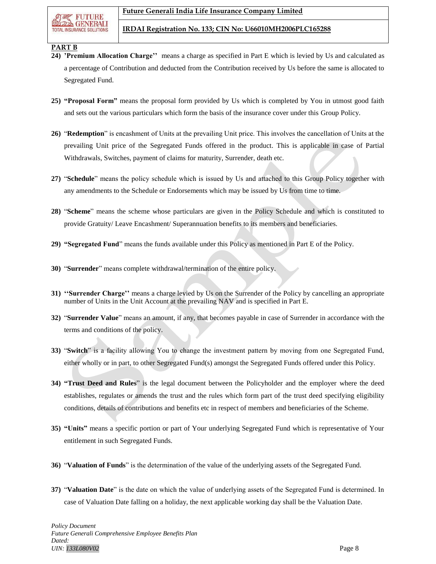## **PART B**

- **24) 'Premium Allocation Charge''** means a charge as specified in Part E which is levied by Us and calculated as a percentage of Contribution and deducted from the Contribution received by Us before the same is allocated to Segregated Fund.
- **25) "Proposal Form"** means the proposal form provided by Us which is completed by You in utmost good faith and sets out the various particulars which form the basis of the insurance cover under this Group Policy.
- **26)** "**Redemption**" is encashment of Units at the prevailing Unit price. This involves the cancellation of Units at the prevailing Unit price of the Segregated Funds offered in the product. This is applicable in case of Partial Withdrawals, Switches, payment of claims for maturity, Surrender, death etc.
- **27)** "**Schedule**" means the policy schedule which is issued by Us and attached to this Group Policy together with any amendments to the Schedule or Endorsements which may be issued by Us from time to time.
- **28)** "**Scheme**" means the scheme whose particulars are given in the Policy Schedule and which is constituted to provide Gratuity/ Leave Encashment/ Superannuation benefits to its members and beneficiaries.
- **29) "Segregated Fund**" means the funds available under this Policy as mentioned in Part E of the Policy.
- **30)** "**Surrender**" means complete withdrawal/termination of the entire policy.
- **31) ''Surrender Charge''** means a charge levied by Us on the Surrender of the Policy by cancelling an appropriate number of Units in the Unit Account at the prevailing NAV and is specified in Part E.
- **32)** "**Surrender Value**" means an amount, if any, that becomes payable in case of Surrender in accordance with the terms and conditions of the policy.
- **33)** "**Switch**" is a facility allowing You to change the investment pattern by moving from one Segregated Fund, either wholly or in part, to other Segregated Fund(s) amongst the Segregated Funds offered under this Policy.
- **34) "Trust Deed and Rules**" is the legal document between the Policyholder and the employer where the deed establishes, regulates or amends the trust and the rules which form part of the trust deed specifying eligibility conditions, details of contributions and benefits etc in respect of members and beneficiaries of the Scheme.
- **35) "Units"** means a specific portion or part of Your underlying Segregated Fund which is representative of Your entitlement in such Segregated Funds.
- **36)** "**Valuation of Funds**" is the determination of the value of the underlying assets of the Segregated Fund.
- **37)** "**Valuation Date**" is the date on which the value of underlying assets of the Segregated Fund is determined. In case of Valuation Date falling on a holiday, the next applicable working day shall be the Valuation Date.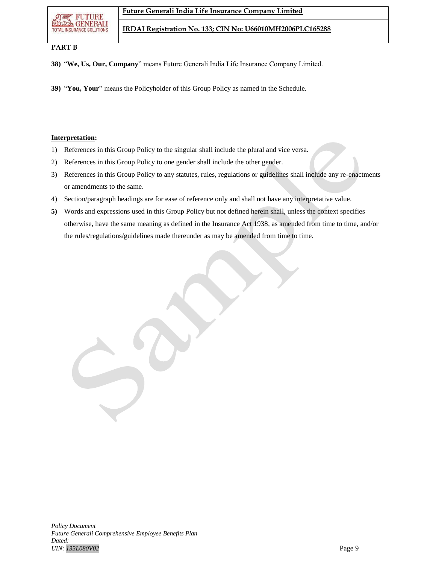**RUINURB GENERALI TOTAL INSURANCE SOLUTIONS** 

**IRDAI Registration No. 133; CIN No: U66010MH2006PLC165288**

## **PART B**

**38)** "**We, Us, Our, Company**" means Future Generali India Life Insurance Company Limited.

**39)** "**You, Your**" means the Policyholder of this Group Policy as named in the Schedule.

## **Interpretation:**

- 1) References in this Group Policy to the singular shall include the plural and vice versa.
- 2) References in this Group Policy to one gender shall include the other gender.
- 3) References in this Group Policy to any statutes, rules, regulations or guidelines shall include any re-enactments or amendments to the same.
- 4) Section/paragraph headings are for ease of reference only and shall not have any interpretative value.
- **5)** Words and expressions used in this Group Policy but not defined herein shall, unless the context specifies otherwise, have the same meaning as defined in the Insurance Act 1938, as amended from time to time, and/or the rules/regulations/guidelines made thereunder as may be amended from time to time.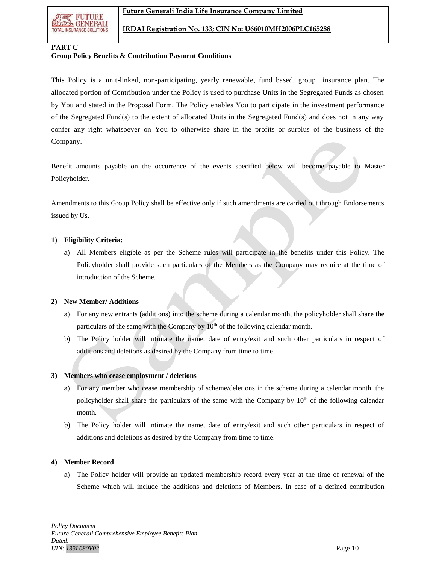**NUMMURI**B **GENERALI TOTAL INSURANCE SOLUTION** 

## **PART C**

## **Group Policy Benefits & Contribution Payment Conditions**

This Policy is a unit-linked, non-participating, yearly renewable, fund based, group insurance plan. The allocated portion of Contribution under the Policy is used to purchase Units in the Segregated Funds as chosen by You and stated in the Proposal Form. The Policy enables You to participate in the investment performance of the Segregated Fund(s) to the extent of allocated Units in the Segregated Fund(s) and does not in any way confer any right whatsoever on You to otherwise share in the profits or surplus of the business of the Company.

Benefit amounts payable on the occurrence of the events specified below will become payable to Master Policyholder.

Amendments to this Group Policy shall be effective only if such amendments are carried out through Endorsements issued by Us.

## **1) Eligibility Criteria:**

a) All Members eligible as per the Scheme rules will participate in the benefits under this Policy. The Policyholder shall provide such particulars of the Members as the Company may require at the time of introduction of the Scheme.

# **2) New Member/ Additions**

- a) For any new entrants (additions) into the scheme during a calendar month, the policyholder shall share the particulars of the same with the Company by  $10<sup>th</sup>$  of the following calendar month.
- b) The Policy holder will intimate the name, date of entry/exit and such other particulars in respect of additions and deletions as desired by the Company from time to time.

# **3) Members who cease employment / deletions**

- a) For any member who cease membership of scheme/deletions in the scheme during a calendar month, the policyholder shall share the particulars of the same with the Company by  $10<sup>th</sup>$  of the following calendar month.
- b) The Policy holder will intimate the name, date of entry/exit and such other particulars in respect of additions and deletions as desired by the Company from time to time.

# **4) Member Record**

a) The Policy holder will provide an updated membership record every year at the time of renewal of the Scheme which will include the additions and deletions of Members. In case of a defined contribution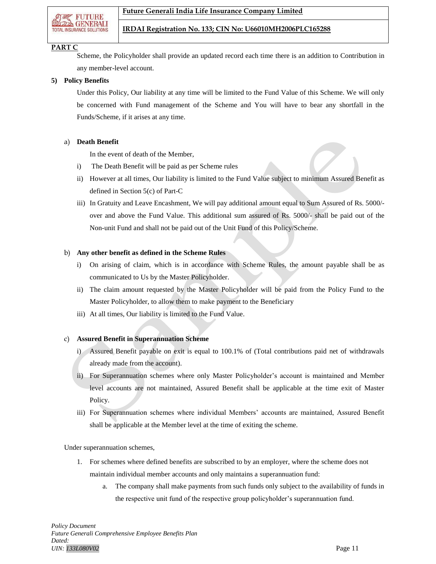

#### **PART C**

Scheme, the Policyholder shall provide an updated record each time there is an addition to Contribution in any member-level account.

#### **5) Policy Benefits**

Under this Policy, Our liability at any time will be limited to the Fund Value of this Scheme. We will only be concerned with Fund management of the Scheme and You will have to bear any shortfall in the Funds/Scheme, if it arises at any time.

#### a) **Death Benefit**

In the event of death of the Member,

- i) The Death Benefit will be paid as per Scheme rules
- ii) However at all times, Our liability is limited to the Fund Value subject to minimum Assured Benefit as defined in Section 5(c) of Part-C
- iii) In Gratuity and Leave Encashment, We will pay additional amount equal to Sum Assured of Rs. 5000/ over and above the Fund Value. This additional sum assured of Rs. 5000/- shall be paid out of the Non-unit Fund and shall not be paid out of the Unit Fund of this Policy/Scheme.

## b) **Any other benefit as defined in the Scheme Rules**

- i) On arising of claim, which is in accordance with Scheme Rules, the amount payable shall be as communicated to Us by the Master Policyholder.
- ii) The claim amount requested by the Master Policyholder will be paid from the Policy Fund to the Master Policyholder, to allow them to make payment to the Beneficiary
- iii) At all times, Our liability is limited to the Fund Value.

#### c) **Assured Benefit in Superannuation Scheme**

- i) Assured Benefit payable on exit is equal to 100.1% of (Total contributions paid net of withdrawals already made from the account).
- ii) For Superannuation schemes where only Master Policyholder's account is maintained and Member level accounts are not maintained, Assured Benefit shall be applicable at the time exit of Master Policy.
- iii) For Superannuation schemes where individual Members' accounts are maintained, Assured Benefit shall be applicable at the Member level at the time of exiting the scheme.

Under superannuation schemes,

- 1. For schemes where defined benefits are subscribed to by an employer, where the scheme does not maintain individual member accounts and only maintains a superannuation fund:
	- The company shall make payments from such funds only subject to the availability of funds in the respective unit fund of the respective group policyholder's superannuation fund.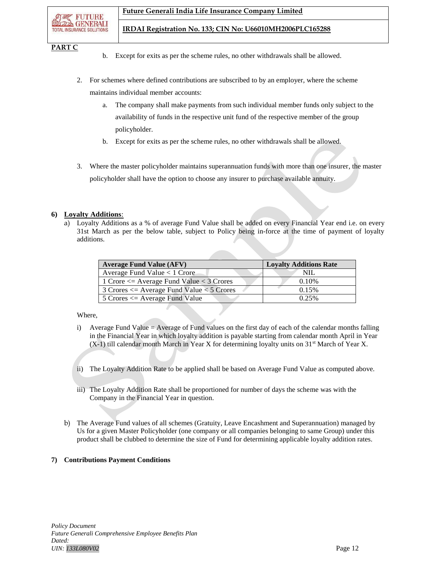**PART C**

- b. Except for exits as per the scheme rules, no other withdrawals shall be allowed.
- 2. For schemes where defined contributions are subscribed to by an employer, where the scheme maintains individual member accounts:
	- a. The company shall make payments from such individual member funds only subject to the availability of funds in the respective unit fund of the respective member of the group policyholder.
	- b. Except for exits as per the scheme rules, no other withdrawals shall be allowed.
- 3. Where the master policyholder maintains superannuation funds with more than one insurer, the master policyholder shall have the option to choose any insurer to purchase available annuity.

## **6) Loyalty Additions**:

a) Loyalty Additions as a % of average Fund Value shall be added on every Financial Year end i.e. on every 31st March as per the below table, subject to Policy being in-force at the time of payment of loyalty additions.

| <b>Average Fund Value (AFV)</b>                           | <b>Loyalty Additions Rate</b> |
|-----------------------------------------------------------|-------------------------------|
| Average Fund Value $< 1$ Crore                            | NIL.                          |
| 1 Crore $\leq$ Average Fund Value $\lt$ 3 Crores          | 0.10%                         |
| $\vert$ 3 Crores $\leq$ Average Fund Value $\lt$ 5 Crores | 0.15%                         |
| $\vert$ 5 Crores $\leq$ Average Fund Value                | 0.25%                         |

## Where,

- i) Average Fund Value = Average of Fund values on the first day of each of the calendar months falling in the Financial Year in which loyalty addition is payable starting from calendar month April in Year  $(X-1)$  till calendar month March in Year X for determining loyalty units on 31<sup>st</sup> March of Year X.
- ii) The Loyalty Addition Rate to be applied shall be based on Average Fund Value as computed above.
- iii) The Loyalty Addition Rate shall be proportioned for number of days the scheme was with the Company in the Financial Year in question.
- b) The Average Fund values of all schemes (Gratuity, Leave Encashment and Superannuation) managed by Us for a given Master Policyholder (one company or all companies belonging to same Group) under this product shall be clubbed to determine the size of Fund for determining applicable loyalty addition rates.

## **7) Contributions Payment Conditions**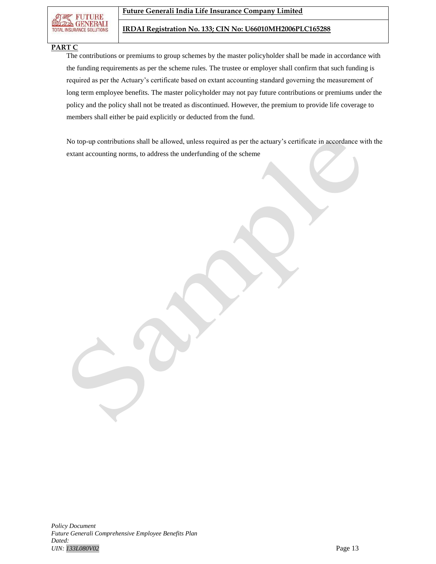

#### **PART C**

The contributions or premiums to group schemes by the master policyholder shall be made in accordance with the funding requirements as per the scheme rules. The trustee or employer shall confirm that such funding is required as per the Actuary's certificate based on extant accounting standard governing the measurement of long term employee benefits. The master policyholder may not pay future contributions or premiums under the policy and the policy shall not be treated as discontinued. However, the premium to provide life coverage to members shall either be paid explicitly or deducted from the fund.

No top-up contributions shall be allowed, unless required as per the actuary's certificate in accordance with the extant accounting norms, to address the underfunding of the scheme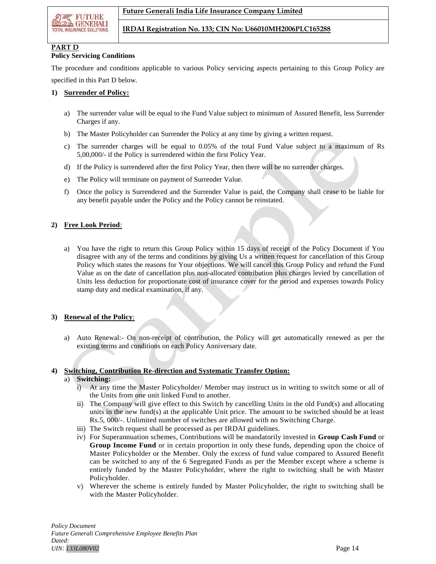

## **PART D**

#### **Policy Servicing Conditions**

The procedure and conditions applicable to various Policy servicing aspects pertaining to this Group Policy are specified in this Part D below.

## **1) Surrender of Policy:**

- a) The surrender value will be equal to the Fund Value subject to minimum of Assured Benefit, less Surrender Charges if any.
- b) The Master Policyholder can Surrender the Policy at any time by giving a written request.
- c) The surrender charges will be equal to 0.05% of the total Fund Value subject to a maximum of Rs 5,00,000/- if the Policy is surrendered within the first Policy Year.
- d) If the Policy is surrendered after the first Policy Year, then there will be no surrender charges.
- e) The Policy will terminate on payment of Surrender Value.
- f) Once the policy is Surrendered and the Surrender Value is paid, the Company shall cease to be liable for any benefit payable under the Policy and the Policy cannot be reinstated.

## **2) Free Look Period**:

a) You have the right to return this Group Policy within 15 days of receipt of the Policy Document if You disagree with any of the terms and conditions by giving Us a written request for cancellation of this Group Policy which states the reasons for Your objections. We will cancel this Group Policy and refund the Fund Value as on the date of cancellation plus non-allocated contribution plus charges levied by cancellation of Units less deduction for proportionate cost of insurance cover for the period and expenses towards Policy stamp duty and medical examination, if any.

## **3) Renewal of the Policy**:

a) Auto Renewal:- On non-receipt of contribution, the Policy will get automatically renewed as per the existing terms and conditions on each Policy Anniversary date.

#### **4) Switching, Contribution Re-direction and Systematic Transfer Option:**

### a) **Switching:**

- i) At any time the Master Policyholder/ Member may instruct us in writing to switch some or all of the Units from one unit linked Fund to another.
- ii) The Company will give effect to this Switch by cancelling Units in the old Fund(s) and allocating units in the new fund(s) at the applicable Unit price. The amount to be switched should be at least Rs.5, 000/-. Unlimited number of switches are allowed with no Switching Charge.
- iii) The Switch request shall be processed as per IRDAI guidelines.
- iv) For Superannuation schemes, Contributions will be mandatorily invested in **Group Cash Fund** or **Group Income Fund** or in certain proportion in only these funds, depending upon the choice of Master Policyholder or the Member. Only the excess of fund value compared to Assured Benefit can be switched to any of the 6 Segregated Funds as per the Member except where a scheme is entirely funded by the Master Policyholder, where the right to switching shall be with Master Policyholder.
- v) Wherever the scheme is entirely funded by Master Policyholder, the right to switching shall be with the Master Policyholder.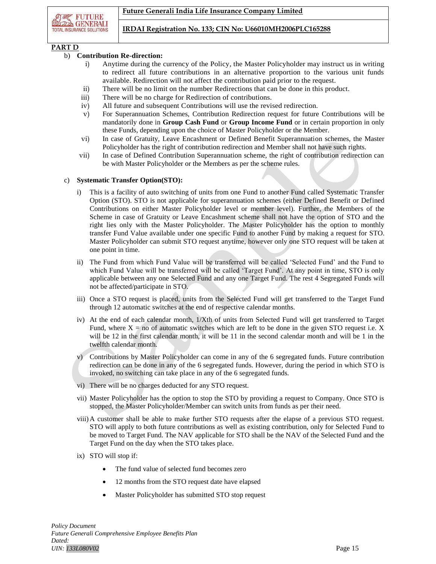

## **PART D**

## b) **Contribution Re-direction:**

- i) Anytime during the currency of the Policy, the Master Policyholder may instruct us in writing to redirect all future contributions in an alternative proportion to the various unit funds available. Redirection will not affect the contribution paid prior to the request.
- ii) There will be no limit on the number Redirections that can be done in this product.
- iii) There will be no charge for Redirection of contributions.
- iv) All future and subsequent Contributions will use the revised redirection.
- v) For Superannuation Schemes, Contribution Redirection request for future Contributions will be mandatorily done in **Group Cash Fund** or **Group Income Fund** or in certain proportion in only these Funds, depending upon the choice of Master Policyholder or the Member.
- vi) In case of Gratuity, Leave Encashment or Defined Benefit Superannuation schemes, the Master Policyholder has the right of contribution redirection and Member shall not have such rights.
- vii) In case of Defined Contribution Superannuation scheme, the right of contribution redirection can be with Master Policyholder or the Members as per the scheme rules.

## c) **Systematic Transfer Option(STO):**

- i) This is a facility of auto switching of units from one Fund to another Fund called Systematic Transfer Option (STO). STO is not applicable for superannuation schemes (either Defined Benefit or Defined Contributions on either Master Policyholder level or member level). Further, the Members of the Scheme in case of Gratuity or Leave Encashment scheme shall not have the option of STO and the right lies only with the Master Policyholder. The Master Policyholder has the option to monthly transfer Fund Value available under one specific Fund to another Fund by making a request for STO. Master Policyholder can submit STO request anytime, however only one STO request will be taken at one point in time.
- ii) The Fund from which Fund Value will be transferred will be called 'Selected Fund' and the Fund to which Fund Value will be transferred will be called 'Target Fund'. At any point in time, STO is only applicable between any one Selected Fund and any one Target Fund. The rest 4 Segregated Funds will not be affected/participate in STO.
- iii) Once a STO request is placed, units from the Selected Fund will get transferred to the Target Fund through 12 automatic switches at the end of respective calendar months.
- iv) At the end of each calendar month, 1/Xth of units from Selected Fund will get transferred to Target Fund, where  $X = no$  of automatic switches which are left to be done in the given STO request i.e. X will be 12 in the first calendar month, it will be 11 in the second calendar month and will be 1 in the twelfth calendar month.
- v) Contributions by Master Policyholder can come in any of the 6 segregated funds. Future contribution redirection can be done in any of the 6 segregated funds. However, during the period in which STO is invoked, no switching can take place in any of the 6 segregated funds.
- vi) There will be no charges deducted for any STO request.
- vii) Master Policyholder has the option to stop the STO by providing a request to Company. Once STO is stopped, the Master Policyholder/Member can switch units from funds as per their need.
- viii) A customer shall be able to make further STO requests after the elapse of a previous STO request. STO will apply to both future contributions as well as existing contribution, only for Selected Fund to be moved to Target Fund. The NAV applicable for STO shall be the NAV of the Selected Fund and the Target Fund on the day when the STO takes place.
- ix) STO will stop if:
	- The fund value of selected fund becomes zero
	- 12 months from the STO request date have elapsed
	- Master Policyholder has submitted STO stop request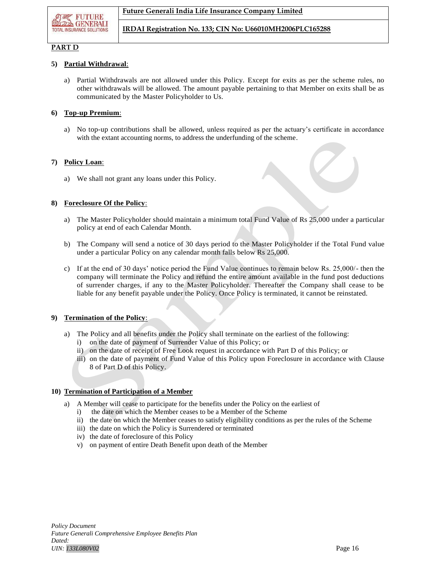## **PART D**

## **5) Partial Withdrawal**:

a) Partial Withdrawals are not allowed under this Policy. Except for exits as per the scheme rules, no other withdrawals will be allowed. The amount payable pertaining to that Member on exits shall be as communicated by the Master Policyholder to Us.

## **6) Top**-**up Premium**:

a) No top-up contributions shall be allowed, unless required as per the actuary's certificate in accordance with the extant accounting norms, to address the underfunding of the scheme.

## **7) Policy Loan**:

a) We shall not grant any loans under this Policy.

## **8) Foreclosure Of the Policy**:

- a) The Master Policyholder should maintain a minimum total Fund Value of Rs 25,000 under a particular policy at end of each Calendar Month.
- b) The Company will send a notice of 30 days period to the Master Policyholder if the Total Fund value under a particular Policy on any calendar month falls below Rs 25,000.
- c) If at the end of 30 days' notice period the Fund Value continues to remain below Rs. 25,000/- then the company will terminate the Policy and refund the entire amount available in the fund post deductions of surrender charges, if any to the Master Policyholder. Thereafter the Company shall cease to be liable for any benefit payable under the Policy. Once Policy is terminated, it cannot be reinstated.

#### **9) Termination of the Policy**:

- a) The Policy and all benefits under the Policy shall terminate on the earliest of the following:
	- i) on the date of payment of Surrender Value of this Policy; or
	- ii) on the date of receipt of Free Look request in accordance with Part D of this Policy; or
	- iii) on the date of payment of Fund Value of this Policy upon Foreclosure in accordance with Clause 8 of Part D of this Policy.

## **10) Termination of Participation of a Member**

- a) A Member will cease to participate for the benefits under the Policy on the earliest of
	- i) the date on which the Member ceases to be a Member of the Scheme
	- ii) the date on which the Member ceases to satisfy eligibility conditions as per the rules of the Scheme
	- iii) the date on which the Policy is Surrendered or terminated
	- iv) the date of foreclosure of this Policy
	- v) on payment of entire Death Benefit upon death of the Member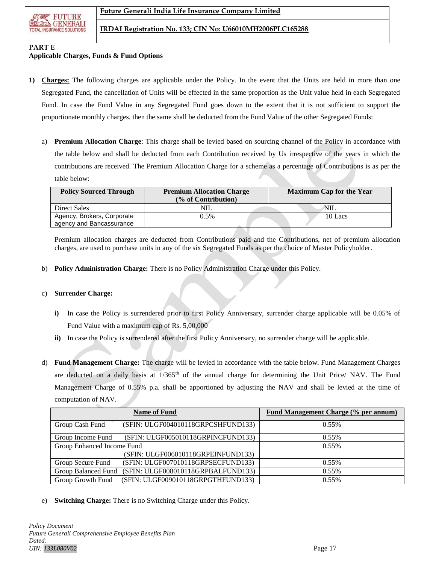

## **PART E**

#### **Applicable Charges, Funds & Fund Options**

- **1) Charges:** The following charges are applicable under the Policy. In the event that the Units are held in more than one Segregated Fund, the cancellation of Units will be effected in the same proportion as the Unit value held in each Segregated Fund. In case the Fund Value in any Segregated Fund goes down to the extent that it is not sufficient to support the proportionate monthly charges, then the same shall be deducted from the Fund Value of the other Segregated Funds:
	- a) **Premium Allocation Charge**: This charge shall be levied based on sourcing channel of the Policy in accordance with the table below and shall be deducted from each Contribution received by Us irrespective of the years in which the contributions are received. The Premium Allocation Charge for a scheme as a percentage of Contributions is as per the table below:

| <b>Policy Sourced Through</b> | <b>Premium Allocation Charge</b> | <b>Maximum Cap for the Year</b> |  |
|-------------------------------|----------------------------------|---------------------------------|--|
|                               | (% of Contribution)              |                                 |  |
| <b>Direct Sales</b>           | NIL                              | NII.                            |  |
| Agency, Brokers, Corporate    | 0.5%                             | 10 Lacs                         |  |
| agency and Bancassurance      |                                  |                                 |  |

Premium allocation charges are deducted from Contributions paid and the Contributions, net of premium allocation charges, are used to purchase units in any of the six Segregated Funds as per the choice of Master Policyholder.

b) **Policy Administration Charge:** There is no Policy Administration Charge under this Policy.

#### c) **Surrender Charge:**

- **i)** In case the Policy is surrendered prior to first Policy Anniversary, surrender charge applicable will be 0.05% of Fund Value with a maximum cap of Rs. 5,00,000
- **ii)** In case the Policy is surrendered after the first Policy Anniversary, no surrender charge will be applicable.
- d) **Fund Management Charge:** The charge will be levied in accordance with the table below. Fund Management Charges are deducted on a daily basis at  $1/365<sup>th</sup>$  of the annual charge for determining the Unit Price/ NAV. The Fund Management Charge of 0.55% p.a. shall be apportioned by adjusting the NAV and shall be levied at the time of computation of NAV.

|                            | <b>Name of Fund</b>                | <b>Fund Management Charge (% per annum)</b> |
|----------------------------|------------------------------------|---------------------------------------------|
| Group Cash Fund            | (SFIN: ULGF004010118GRPCSHFUND133) | $0.55\%$                                    |
| Group Income Fund          | (SFIN: ULGF005010118GRPINCFUND133) | 0.55%                                       |
| Group Enhanced Income Fund |                                    | $0.55\%$                                    |
|                            | (SFIN: ULGF006010118GRPEINFUND133) |                                             |
| Group Secure Fund          | (SFIN: ULGF007010118GRPSECFUND133) | 0.55%                                       |
| Group Balanced Fund        | (SFIN: ULGF008010118GRPBALFUND133) | 0.55%                                       |
| Group Growth Fund          | (SFIN: ULGF009010118GRPGTHFUND133) | $0.55\%$                                    |

e) **Switching Charge:** There is no Switching Charge under this Policy.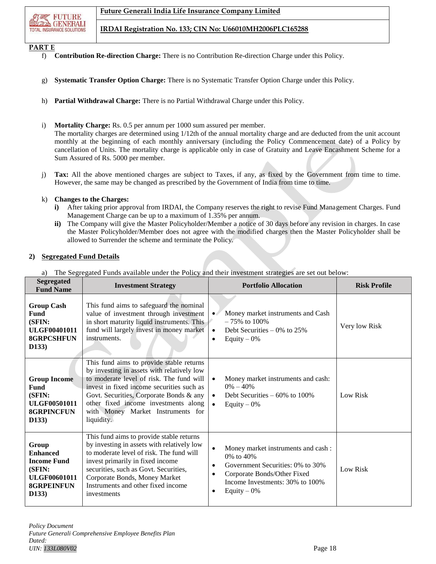

## **PART E**

- f) **Contribution Re-direction Charge:** There is no Contribution Re-direction Charge under this Policy.
- g) **Systematic Transfer Option Charge:** There is no Systematic Transfer Option Charge under this Policy.
- h) **Partial Withdrawal Charge:** There is no Partial Withdrawal Charge under this Policy.
- i) **Mortality Charge:** Rs. 0.5 per annum per 1000 sum assured per member.

The mortality charges are determined using 1/12th of the annual mortality charge and are deducted from the unit account monthly at the beginning of each monthly anniversary (including the Policy Commencement date) of a Policy by cancellation of Units. The mortality charge is applicable only in case of Gratuity and Leave Encashment Scheme for a Sum Assured of Rs. 5000 per member.

j) **Tax:** All the above mentioned charges are subject to Taxes, if any, as fixed by the Government from time to time. However, the same may be changed as prescribed by the Government of India from time to time.

## k) **Changes to the Charges:**

- **i)** After taking prior approval from IRDAI, the Company reserves the right to revise Fund Management Charges. Fund Management Charge can be up to a maximum of 1.35% per annum.
- **ii)** The Company will give the Master Policyholder/Member a notice of 30 days before any revision in charges. In case the Master Policyholder/Member does not agree with the modified charges then the Master Policyholder shall be allowed to Surrender the scheme and terminate the Policy.

## **2) Segregated Fund Details**

a) The Segregated Funds available under the Policy and their investment strategies are set out below:

| <b>Segregated</b><br><b>Fund Name</b>                                                                         | <b>Investment Strategy</b>                                                                                                                                                                                                                                                                                            | <b>Portfolio Allocation</b>                                                                                                                                                                                                | <b>Risk Profile</b> |
|---------------------------------------------------------------------------------------------------------------|-----------------------------------------------------------------------------------------------------------------------------------------------------------------------------------------------------------------------------------------------------------------------------------------------------------------------|----------------------------------------------------------------------------------------------------------------------------------------------------------------------------------------------------------------------------|---------------------|
| <b>Group Cash</b><br>Fund<br>(SFIN:<br><b>ULGF00401011</b><br><b>8GRPCSHFUN</b><br>D133)                      | This fund aims to safeguard the nominal<br>value of investment through investment<br>in short maturity liquid instruments. This<br>fund will largely invest in money market<br>instruments.                                                                                                                           | Money market instruments and Cash<br>$-75\%$ to 100%<br>Debt Securities $-0\%$ to 25%<br>$\bullet$<br>Equity $-0\%$<br>$\bullet$                                                                                           | Very low Risk       |
| <b>Group Income</b><br><b>Fund</b><br>(SFIN:<br><b>ULGF00501011</b><br><b>8GRPINCFUN</b><br>D133)             | This fund aims to provide stable returns<br>by investing in assets with relatively low<br>to moderate level of risk. The fund will<br>invest in fixed income securities such as<br>Govt. Securities, Corporate Bonds & any<br>other fixed income investments along<br>with Money Market Instruments for<br>liquidity. | Money market instruments and cash:<br>$\bullet$<br>$0\% - 40\%$<br>Debt Securities $-60\%$ to 100%<br>$\bullet$<br>Equity $-0\%$                                                                                           | Low Risk            |
| Group<br><b>Enhanced</b><br><b>Income Fund</b><br>(SFIN:<br><b>ULGF00601011</b><br><b>8GRPEINFUN</b><br>D133) | This fund aims to provide stable returns<br>by investing in assets with relatively low<br>to moderate level of risk. The fund will<br>invest primarily in fixed income<br>securities, such as Govt. Securities,<br>Corporate Bonds, Money Market<br>Instruments and other fixed income<br>investments                 | Money market instruments and cash:<br>$\bullet$<br>0% to 40%<br>Government Securities: 0% to 30%<br>$\bullet$<br>Corporate Bonds/Other Fixed<br>$\bullet$<br>Income Investments: 30% to 100%<br>Equity $-0\%$<br>$\bullet$ | Low Risk            |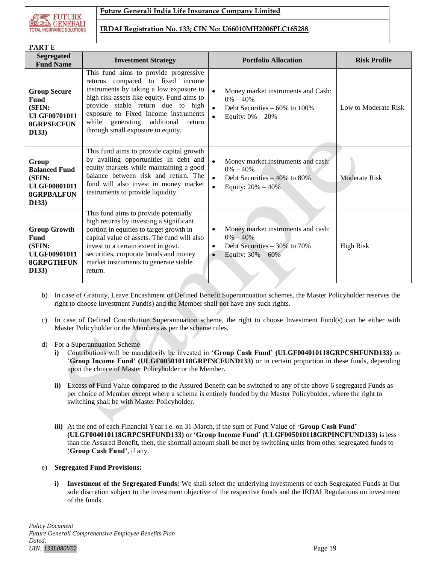

| <b>PARTE</b>                                                                                              |                                                                                                                                                                                                                                                                                                                               |                                                                                                                                                      |                      |
|-----------------------------------------------------------------------------------------------------------|-------------------------------------------------------------------------------------------------------------------------------------------------------------------------------------------------------------------------------------------------------------------------------------------------------------------------------|------------------------------------------------------------------------------------------------------------------------------------------------------|----------------------|
| <b>Segregated</b><br><b>Fund Name</b>                                                                     | <b>Investment Strategy</b>                                                                                                                                                                                                                                                                                                    | <b>Portfolio Allocation</b>                                                                                                                          | <b>Risk Profile</b>  |
| <b>Group Secure</b><br>Fund<br>(SFIN:<br><b>ULGF00701011</b><br><b>8GRPSECFUN</b><br>D <sub>133</sub> )   | This fund aims to provide progressive<br>returns compared to fixed income<br>instruments by taking a low exposure to<br>high risk assets like equity. Fund aims to<br>provide stable return due to high<br>exposure to Fixed Income instruments<br>while generating additional<br>return<br>through small exposure to equity. | $\bullet$<br>Money market instruments and Cash:<br>$0\% - 40\%$<br>Debt Securities $-60\%$ to 100%<br>$\bullet$<br>Equity: $0\% - 20\%$              | Low to Moderate Risk |
| Group<br><b>Balanced Fund</b><br>(SFIN:<br><b>ULGF00801011</b><br><b>8GRPBALFUN</b><br>D <sub>133</sub> ) | This fund aims to provide capital growth<br>by availing opportunities in debt and<br>equity markets while maintaining a good<br>balance between risk and return. The<br>fund will also invest in money market<br>instruments to provide liquidity.                                                                            | $\bullet$<br>Money market instruments and cash:<br>$0\% - 40\%$<br>Debt Securities $-40\%$ to 80%<br>$\bullet$<br>$\bullet$<br>Equity: $20\% - 40\%$ | <b>Moderate Risk</b> |
| <b>Group Growth</b><br><b>Fund</b><br>(SFIN:<br><b>ULGF00901011</b><br><b>8GRPGTHFUN</b><br>D133)         | This fund aims to provide potentially<br>high returns by investing a significant<br>portion in equities to target growth in<br>capital value of assets. The fund will also<br>invest to a certain extent in govt.<br>securities, corporate bonds and money<br>market instruments to generate stable<br>return.                | Money market instruments and cash:<br>$\bullet$<br>$0\% - 40\%$<br>Debt Securities $-30\%$ to 70%<br>$\bullet$<br>Equity: $30\% - 60\%$<br>$\bullet$ | <b>High Risk</b>     |

- b) In case of Gratuity, Leave Encashment or Defined Benefit Superannuation schemes, the Master Policyholder reserves the right to choose Investment Fund(s) and the Member shall not have any such rights.
- c) In case of Defined Contribution Superannuation scheme, the right to choose Investment Fund(s) can be either with Master Policyholder or the Members as per the scheme rules.
- d) For a Superannuation Scheme
	- **i)** Contributions will be mandatorily be invested in '**Group Cash Fund' (ULGF004010118GRPCSHFUND133)** or '**Group Income Fund' (ULGF005010118GRPINCFUND133)** or in certain proportion in these funds, depending upon the choice of Master Policyholder or the Member.
	- **ii)** Excess of Fund Value compared to the Assured Benefit can be switched to any of the above 6 segregated Funds as per choice of Member except where a scheme is entirely funded by the Master Policyholder, where the right to switching shall be with Master Policyholder.
	- **iii)** At the end of each Financial Year i.e. on 31-March, if the sum of Fund Value of '**Group Cash Fund' (ULGF004010118GRPCSHFUND133)** or **'Group Income Fund' (ULGF005010118GRPINCFUND133)** is less than the Assured Benefit, then, the shortfall amount shall be met by switching units from other segregated funds to '**Group Cash Fund'**, if any.
- e) **Segregated Fund Provisions:**
	- **i) Investment of the Segregated Funds:** We shall select the underlying investments of each Segregated Funds at Our sole discretion subject to the investment objective of the respective funds and the IRDAI Regulations on investment of the funds.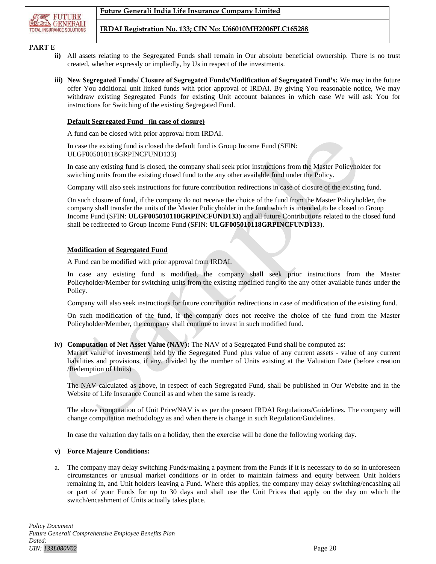

## **PART E**

- **ii)** All assets relating to the Segregated Funds shall remain in Our absolute beneficial ownership. There is no trust created, whether expressly or impliedly, by Us in respect of the investments.
- **iii) New Segregated Funds/ Closure of Segregated Funds/Modification of Segregated Fund's:** We may in the future offer You additional unit linked funds with prior approval of IRDAI. By giving You reasonable notice, We may withdraw existing Segregated Funds for existing Unit account balances in which case We will ask You for instructions for Switching of the existing Segregated Fund.

#### **Default Segregated Fund (in case of closure)**

A fund can be closed with prior approval from IRDAI.

In case the existing fund is closed the default fund is Group Income Fund (SFIN: ULGF005010118GRPINCFUND133)

In case any existing fund is closed, the company shall seek prior instructions from the Master Policyholder for switching units from the existing closed fund to the any other available fund under the Policy.

Company will also seek instructions for future contribution redirections in case of closure of the existing fund.

On such closure of fund, if the company do not receive the choice of the fund from the Master Policyholder, the company shall transfer the units of the Master Policyholder in the fund which is intended to be closed to Group Income Fund (SFIN: **ULGF005010118GRPINCFUND133)** and all future Contributions related to the closed fund shall be redirected to Group Income Fund (SFIN: **ULGF005010118GRPINCFUND133**).

#### **Modification of Segregated Fund**

A Fund can be modified with prior approval from IRDAI.

In case any existing fund is modified, the company shall seek prior instructions from the Master Policyholder/Member for switching units from the existing modified fund to the any other available funds under the Policy.

Company will also seek instructions for future contribution redirections in case of modification of the existing fund.

On such modification of the fund, if the company does not receive the choice of the fund from the Master Policyholder/Member, the company shall continue to invest in such modified fund.

## **iv) Computation of Net Asset Value (NAV):** The NAV of a Segregated Fund shall be computed as:

Market value of investments held by the Segregated Fund plus value of any current assets - value of any current liabilities and provisions, if any, divided by the number of Units existing at the Valuation Date (before creation /Redemption of Units)

The NAV calculated as above, in respect of each Segregated Fund, shall be published in Our Website and in the Website of Life Insurance Council as and when the same is ready.

The above computation of Unit Price/NAV is as per the present IRDAI Regulations/Guidelines. The company will change computation methodology as and when there is change in such Regulation/Guidelines.

In case the valuation day falls on a holiday, then the exercise will be done the following working day.

#### **v) Force Majeure Conditions:**

a. The company may delay switching Funds/making a payment from the Funds if it is necessary to do so in unforeseen circumstances or unusual market conditions or in order to maintain fairness and equity between Unit holders remaining in, and Unit holders leaving a Fund. Where this applies, the company may delay switching/encashing all or part of your Funds for up to 30 days and shall use the Unit Prices that apply on the day on which the switch/encashment of Units actually takes place.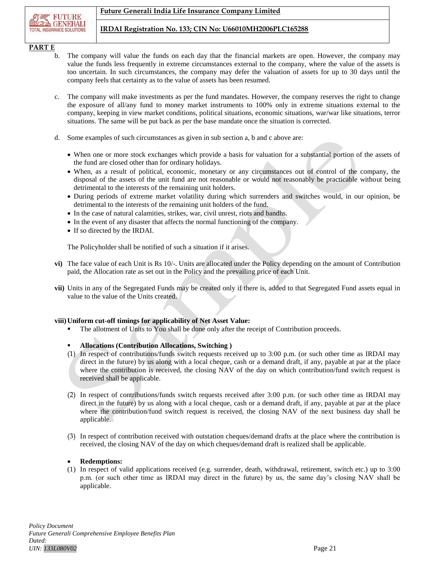## **PART E**

- b. The company will value the funds on each day that the financial markets are open. However, the company may value the funds less frequently in extreme circumstances external to the company, where the value of the assets is too uncertain. In such circumstances, the company may defer the valuation of assets for up to 30 days until the company feels that certainty as to the value of assets has been resumed.
- c. The company will make investments as per the fund mandates. However, the company reserves the right to change the exposure of all/any fund to money market instruments to 100% only in extreme situations external to the company, keeping in view market conditions, political situations, economic situations, war/war like situations, terror situations. The same will be put back as per the base mandate once the situation is corrected.
- d. Some examples of such circumstances as given in sub section a, b and c above are:
	- When one or more stock exchanges which provide a basis for valuation for a substantial portion of the assets of the fund are closed other than for ordinary holidays.
	- When, as a result of political, economic, monetary or any circumstances out of control of the company, the disposal of the assets of the unit fund are not reasonable or would not reasonably be practicable without being detrimental to the interests of the remaining unit holders.
	- During periods of extreme market volatility during which surrenders and switches would, in our opinion, be detrimental to the interests of the remaining unit holders of the fund.
	- In the case of natural calamities, strikes, war, civil unrest, riots and bandhs.
	- In the event of any disaster that affects the normal functioning of the company.
	- If so directed by the IRDAI.

The Policyholder shall be notified of such a situation if it arises.

- **vi)** The face value of each Unit is Rs 10/-. Units are allocated under the Policy depending on the amount of Contribution paid, the Allocation rate as set out in the Policy and the prevailing price of each Unit.
- **vii)** Units in any of the Segregated Funds may be created only if there is, added to that Segregated Fund assets equal in value to the value of the Units created.

## **viii)Uniform cut-off timings for applicability of Net Asset Value:**

The allotment of Units to You shall be done only after the receipt of Contribution proceeds.

## **Allocations (Contribution Allocations, Switching )**

- (1) In respect of contributions/funds switch requests received up to 3:00 p.m. (or such other time as IRDAI may direct in the future) by us along with a local cheque, cash or a demand draft, if any, payable at par at the place where the contribution is received, the closing NAV of the day on which contribution/fund switch request is received shall be applicable.
- (2) In respect of contributions/funds switch requests received after 3:00 p.m. (or such other time as IRDAI may direct in the future) by us along with a local cheque, cash or a demand draft, if any, payable at par at the place where the contribution/fund switch request is received, the closing NAV of the next business day shall be applicable.
- (3) In respect of contribution received with outstation cheques/demand drafts at the place where the contribution is received, the closing NAV of the day on which cheques/demand draft is realized shall be applicable.

#### **Redemptions:**

(1) In respect of valid applications received (e.g. surrender, death, withdrawal, retirement, switch etc.) up to 3:00 p.m. (or such other time as IRDAI may direct in the future) by us, the same day's closing NAV shall be applicable.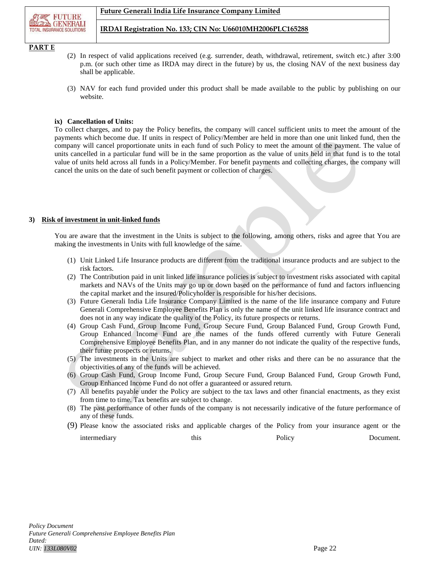

## **PART E**

- (2) In respect of valid applications received (e.g. surrender, death, withdrawal, retirement, switch etc.) after 3:00 p.m. (or such other time as IRDA may direct in the future) by us, the closing NAV of the next business day shall be applicable.
- (3) NAV for each fund provided under this product shall be made available to the public by publishing on our website.

#### **ix) Cancellation of Units:**

To collect charges, and to pay the Policy benefits, the company will cancel sufficient units to meet the amount of the payments which become due. If units in respect of Policy/Member are held in more than one unit linked fund, then the company will cancel proportionate units in each fund of such Policy to meet the amount of the payment. The value of units cancelled in a particular fund will be in the same proportion as the value of units held in that fund is to the total value of units held across all funds in a Policy/Member. For benefit payments and collecting charges, the company will cancel the units on the date of such benefit payment or collection of charges.

## **3) Risk of investment in unit-linked funds**

You are aware that the investment in the Units is subject to the following, among others, risks and agree that You are making the investments in Units with full knowledge of the same.

- (1) Unit Linked Life Insurance products are different from the traditional insurance products and are subject to the risk factors.
- (2) The Contribution paid in unit linked life insurance policies is subject to investment risks associated with capital markets and NAVs of the Units may go up or down based on the performance of fund and factors influencing the capital market and the insured/Policyholder is responsible for his/her decisions.
- (3) Future Generali India Life Insurance Company Limited is the name of the life insurance company and Future Generali Comprehensive Employee Benefits Plan is only the name of the unit linked life insurance contract and does not in any way indicate the quality of the Policy, its future prospects or returns.
- (4) Group Cash Fund, Group Income Fund, Group Secure Fund, Group Balanced Fund, Group Growth Fund, Group Enhanced Income Fund are the names of the funds offered currently with Future Generali Comprehensive Employee Benefits Plan, and in any manner do not indicate the quality of the respective funds, their future prospects or returns.
- (5) The investments in the Units are subject to market and other risks and there can be no assurance that the objectivities of any of the funds will be achieved.
- (6) Group Cash Fund, Group Income Fund, Group Secure Fund, Group Balanced Fund, Group Growth Fund, Group Enhanced Income Fund do not offer a guaranteed or assured return.
- (7) All benefits payable under the Policy are subject to the tax laws and other financial enactments, as they exist from time to time. Tax benefits are subject to change.
- (8) The past performance of other funds of the company is not necessarily indicative of the future performance of any of these funds.
- (9) Please know the associated risks and applicable charges of the Policy from your insurance agent or the intermediary this this Policy Document.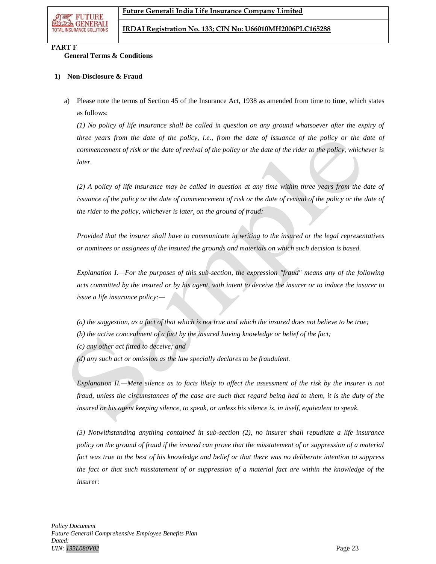

## **PART F**

## **General Terms & Conditions**

#### **1) Non-Disclosure & Fraud**

a) Please note the terms of Section 45 of the Insurance Act, 1938 as amended from time to time, which states as follows:

*(1) No policy of life insurance shall be called in question on any ground whatsoever after the expiry of three years from the date of the policy, i.e., from the date of issuance of the policy or the date of commencement of risk or the date of revival of the policy or the date of the rider to the policy, whichever is later.*

*(2) A policy of life insurance may be called in question at any time within three years from the date of issuance of the policy or the date of commencement of risk or the date of revival of the policy or the date of the rider to the policy, whichever is later, on the ground of fraud:*

*Provided that the insurer shall have to communicate in writing to the insured or the legal representatives or nominees or assignees of the insured the grounds and materials on which such decision is based.*

*Explanation I.—For the purposes of this sub-section, the expression "fraud" means any of the following acts committed by the insured or by his agent, with intent to deceive the insurer or to induce the insurer to issue a life insurance policy:—*

- *(a) the suggestion, as a fact of that which is not true and which the insured does not believe to be true; (b) the active concealment of a fact by the insured having knowledge or belief of the fact; (c) any other act fitted to deceive; and*
- *(d) any such act or omission as the law specially declares to be fraudulent.*

*Explanation II.—Mere silence as to facts likely to affect the assessment of the risk by the insurer is not fraud, unless the circumstances of the case are such that regard being had to them, it is the duty of the insured or his agent keeping silence, to speak, or unless his silence is, in itself, equivalent to speak.*

*(3) Notwithstanding anything contained in sub-section (2), no insurer shall repudiate a life insurance policy on the ground of fraud if the insured can prove that the misstatement of or suppression of a material fact was true to the best of his knowledge and belief or that there was no deliberate intention to suppress the fact or that such misstatement of or suppression of a material fact are within the knowledge of the insurer:*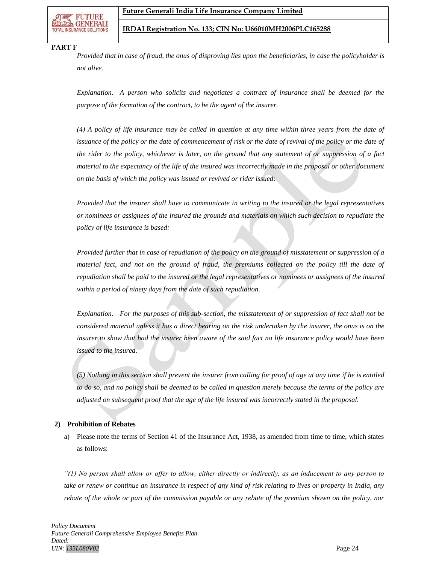

#### **PART F**

*Provided that in case of fraud, the onus of disproving lies upon the beneficiaries, in case the policyholder is not alive.*

*Explanation.—A person who solicits and negotiates a contract of insurance shall be deemed for the purpose of the formation of the contract, to be the agent of the insurer.*

*(4) A policy of life insurance may be called in question at any time within three years from the date of issuance of the policy or the date of commencement of risk or the date of revival of the policy or the date of the rider to the policy, whichever is later, on the ground that any statement of or suppression of a fact material to the expectancy of the life of the insured was incorrectly made in the proposal or other document on the basis of which the policy was issued or revived or rider issued:*

*Provided that the insurer shall have to communicate in writing to the insured or the legal representatives or nominees or assignees of the insured the grounds and materials on which such decision to repudiate the policy of life insurance is based:*

*Provided further that in case of repudiation of the policy on the ground of misstatement or suppression of a material fact, and not on the ground of fraud, the premiums collected on the policy till the date of repudiation shall be paid to the insured or the legal representatives or nominees or assignees of the insured within a period of ninety days from the date of such repudiation.*

*Explanation.—For the purposes of this sub-section, the misstatement of or suppression of fact shall not be considered material unless it has a direct bearing on the risk undertaken by the insurer, the onus is on the insurer to show that had the insurer been aware of the said fact no life insurance policy would have been issued to the insured.*

*(5) Nothing in this section shall prevent the insurer from calling for proof of age at any time if he is entitled to do so, and no policy shall be deemed to be called in question merely because the terms of the policy are adjusted on subsequent proof that the age of the life insured was incorrectly stated in the proposal.*

#### **2) Prohibition of Rebates**

a) Please note the terms of Section 41 of the Insurance Act, 1938, as amended from time to time, which states as follows:

*"(1) No person shall allow or offer to allow, either directly or indirectly, as an inducement to any person to take or renew or continue an insurance in respect of any kind of risk relating to lives or property in India, any rebate of the whole or part of the commission payable or any rebate of the premium shown on the policy, nor*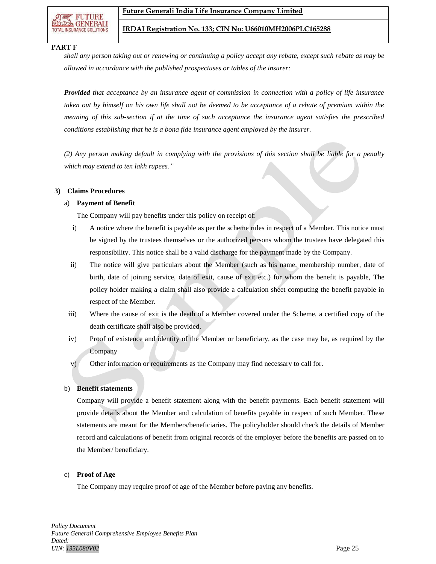IOTNOIRE **GENERALI** 

#### **PART F**

*shall any person taking out or renewing or continuing a policy accept any rebate, except such rebate as may be allowed in accordance with the published prospectuses or tables of the insurer:*

*Provided that acceptance by an insurance agent of commission in connection with a policy of life insurance taken out by himself on his own life shall not be deemed to be acceptance of a rebate of premium within the meaning of this sub-section if at the time of such acceptance the insurance agent satisfies the prescribed conditions establishing that he is a bona fide insurance agent employed by the insurer.*

*(2) Any person making default in complying with the provisions of this section shall be liable for a penalty which may extend to ten lakh rupees."*

#### **3) Claims Procedures**

#### a) **Payment of Benefit**

The Company will pay benefits under this policy on receipt of:

- i) A notice where the benefit is payable as per the scheme rules in respect of a Member. This notice must be signed by the trustees themselves or the authorized persons whom the trustees have delegated this responsibility. This notice shall be a valid discharge for the payment made by the Company.
- ii) The notice will give particulars about the Member (such as his name, membership number, date of birth, date of joining service, date of exit, cause of exit etc.) for whom the benefit is payable, The policy holder making a claim shall also provide a calculation sheet computing the benefit payable in respect of the Member.
- iii) Where the cause of exit is the death of a Member covered under the Scheme, a certified copy of the death certificate shall also be provided.
- iv) Proof of existence and identity of the Member or beneficiary, as the case may be, as required by the Company
- v) Other information or requirements as the Company may find necessary to call for.

#### b) **Benefit statements**

Company will provide a benefit statement along with the benefit payments. Each benefit statement will provide details about the Member and calculation of benefits payable in respect of such Member. These statements are meant for the Members/beneficiaries. The policyholder should check the details of Member record and calculations of benefit from original records of the employer before the benefits are passed on to the Member/ beneficiary.

#### c) **Proof of Age**

The Company may require proof of age of the Member before paying any benefits.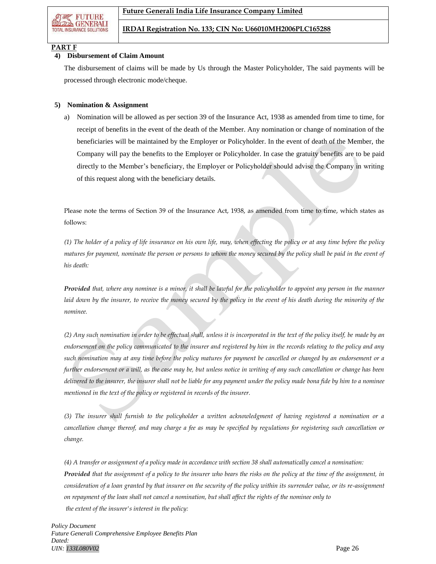

## **PART F**

#### **4) Disbursement of Claim Amount**

The disbursement of claims will be made by Us through the Master Policyholder, The said payments will be processed through electronic mode/cheque.

## **5) Nomination & Assignment**

a) Nomination will be allowed as per section 39 of the Insurance Act, 1938 as amended from time to time, for receipt of benefits in the event of the death of the Member. Any nomination or change of nomination of the beneficiaries will be maintained by the Employer or Policyholder. In the event of death of the Member, the Company will pay the benefits to the Employer or Policyholder. In case the gratuity benefits are to be paid directly to the Member's beneficiary, the Employer or Policyholder should advise the Company in writing of this request along with the beneficiary details.

Please note the terms of Section 39 of the Insurance Act, 1938, as amended from time to time, which states as follows:

*(1) The holder of a policy of life insurance on his own life, may, when effecting the policy or at any time before the policy matures for payment, nominate the person or persons to whom the money secured by the policy shall be paid in the event of his death:*

*Provided that, where any nominee is a minor, it shall be lawful for the policyholder to appoint any person in the manner*  laid down by the insurer, to receive the money secured by the policy in the event of his death during the minority of the *nominee.*

*(2) Any such nomination in order to be effectual shall, unless it is incorporated in the text of the policy itself, be made by an endorsement on the policy communicated to the insurer and registered by him in the records relating to the policy and any such nomination may at any time before the policy matures for payment be cancelled or changed by an endorsement or a further endorsement or a will, as the case may be, but unless notice in writing of any such cancellation or change has been delivered to the insurer, the insurer shall not be liable for any payment under the policy made bona fide by him to a nominee mentioned in the text of the policy or registered in records of the insurer.*

*(3) The insurer shall furnish to the policyholder a written acknowledgment of having registered a nomination or a cancellation change thereof, and may charge a fee as may be specified by regulations for registering such cancellation or change.*

*(4) A transfer or assignment of a policy made in accordance with section 38 shall automatically cancel a nomination: Provided that the assignment of a policy to the insurer who bears the risks on the policy at the time of the assignment, in consideration of a loan granted by that insurer on the security of the policy within its surrender value, or its re-assignment on repayment of the loan shall not cancel a nomination, but shall affect the rights of the nominee only to the extent of the insurer's interest in the policy:*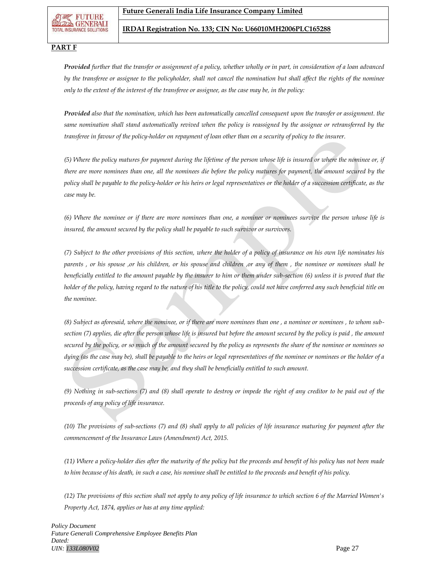FUTURE **GENERALI** 

#### **IRDAI Registration No. 133; CIN No: U66010MH2006PLC165288**

## **PART F**

*Provided further that the transfer or assignment of a policy, whether wholly or in part, in consideration of a loan advanced by the transferee or assignee to the policyholder, shall not cancel the nomination but shall affect the rights of the nominee only to the extent of the interest of the transferee or assignee, as the case may be, in the policy:*

*Provided also that the nomination, which has been automatically cancelled consequent upon the transfer or assignment. the same nomination shall stand automatically revived when the policy is reassigned by the assignee or retransferred by the transferee in favour of the policy-holder on repayment of loan other than on a security of policy to the insurer.*

*(5) Where the policy matures for payment during the lifetime of the person whose life is insured or where the nominee or, if there are more nominees than one, all the nominees die before the policy matures for payment, the amount secured by the policy shall be payable to the policy-holder or his heirs or legal representatives or the holder of a succession certificate, as the case may be.*

*(6) Where the nominee or if there are more nominees than one, a nominee or nominees survive the person whose life is insured, the amount secured by the policy shall be payable to such survivor or survivors.*

*(7) Subject to the other provisions of this section, where the holder of a policy of insurance on his own life nominates his parents , or his spouse ,or his children, or his spouse and children ,or any of them , the nominee or nominees shall be beneficially entitled to the amount payable by the insurer to him or them under sub-section (6) unless it is proved that the holder of the policy, having regard to the nature of his title to the policy, could not have conferred any such beneficial title on the nominee.*

*(8) Subject as aforesaid, where the nominee, or if there are more nominees than one , a nominee or nominees , to whom subsection (7) applies, die after the person whose life is insured but before the amount secured by the policy is paid , the amount secured by the policy, or so much of the amount secured by the policy as represents the share of the nominee or nominees so dying (as the case may be), shall be payable to the heirs or legal representatives of the nominee or nominees or the holder of a succession certificate, as the case may be, and they shall be beneficially entitled to such amount.*

*(9) Nothing in sub-sections (7) and (8) shall operate to destroy or impede the right of any creditor to be paid out of the proceeds of any policy of life insurance.*

*(10) The provisions of sub-sections (7) and (8) shall apply to all policies of life insurance maturing for payment after the commencement of the Insurance Laws (Amendment) Act, 2015.*

*(11) Where a policy-holder dies after the maturity of the policy but the proceeds and benefit of his policy has not been made to him because of his death, in such a case, his nominee shall be entitled to the proceeds and benefit of his policy.*

*(12) The provisions of this section shall not apply to any policy of life insurance to which section 6 of the Married Women's Property Act, 1874, applies or has at any time applied:*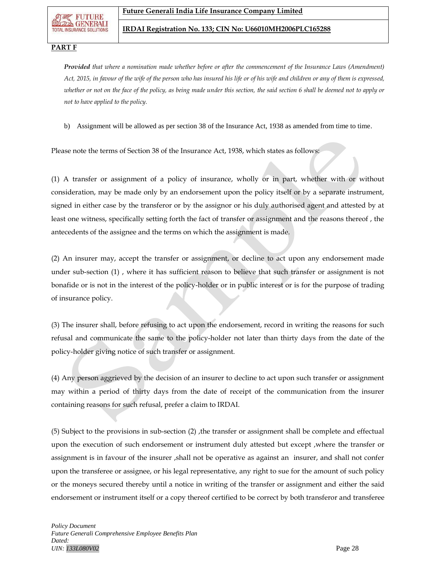FUTURE **GENERALI** 

#### **IRDAI Registration No. 133; CIN No: U66010MH2006PLC165288**

## **PART F**

*Provided that where a nomination made whether before or after the commencement of the Insurance Laws (Amendment) Act, 2015, in favour of the wife of the person who has insured his life or of his wife and children or any of them is expressed, whether or not on the face of the policy, as being made under this section, the said section 6 shall be deemed not to apply or not to have applied to the policy.*

b) Assignment will be allowed as per section 38 of the Insurance Act, 1938 as amended from time to time.

Please note the terms of Section 38 of the Insurance Act, 1938, which states as follows:

(1) A transfer or assignment of a policy of insurance, wholly or in part, whether with or without consideration, may be made only by an endorsement upon the policy itself or by a separate instrument, signed in either case by the transferor or by the assignor or his duly authorised agent and attested by at least one witness, specifically setting forth the fact of transfer or assignment and the reasons thereof , the antecedents of the assignee and the terms on which the assignment is made.

(2) An insurer may, accept the transfer or assignment, or decline to act upon any endorsement made under sub-section (1) , where it has sufficient reason to believe that such transfer or assignment is not bonafide or is not in the interest of the policy-holder or in public interest or is for the purpose of trading of insurance policy.

(3) The insurer shall, before refusing to act upon the endorsement, record in writing the reasons for such refusal and communicate the same to the policy-holder not later than thirty days from the date of the policy-holder giving notice of such transfer or assignment.

(4) Any person aggrieved by the decision of an insurer to decline to act upon such transfer or assignment may within a period of thirty days from the date of receipt of the communication from the insurer containing reasons for such refusal, prefer a claim to IRDAI.

(5) Subject to the provisions in sub-section (2) ,the transfer or assignment shall be complete and effectual upon the execution of such endorsement or instrument duly attested but except ,where the transfer or assignment is in favour of the insurer ,shall not be operative as against an insurer, and shall not confer upon the transferee or assignee, or his legal representative, any right to sue for the amount of such policy or the moneys secured thereby until a notice in writing of the transfer or assignment and either the said endorsement or instrument itself or a copy thereof certified to be correct by both transferor and transferee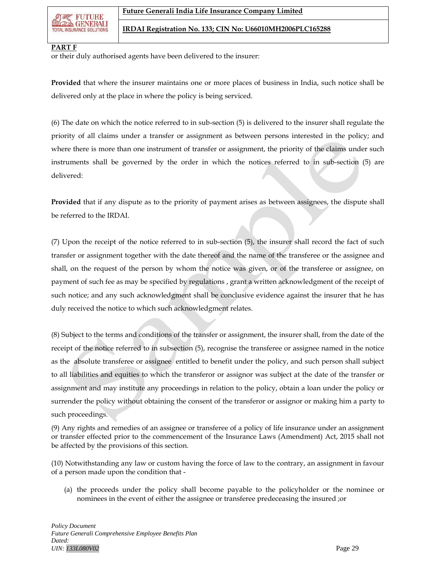

#### **PART F**

or their duly authorised agents have been delivered to the insurer:

**Provided** that where the insurer maintains one or more places of business in India, such notice shall be delivered only at the place in where the policy is being serviced.

(6) The date on which the notice referred to in sub-section (5) is delivered to the insurer shall regulate the priority of all claims under a transfer or assignment as between persons interested in the policy; and where there is more than one instrument of transfer or assignment, the priority of the claims under such instruments shall be governed by the order in which the notices referred to in sub-section (5) are delivered:

**Provided** that if any dispute as to the priority of payment arises as between assignees, the dispute shall be referred to the IRDAI.

(7) Upon the receipt of the notice referred to in sub-section (5), the insurer shall record the fact of such transfer or assignment together with the date thereof and the name of the transferee or the assignee and shall, on the request of the person by whom the notice was given, or of the transferee or assignee, on payment of such fee as may be specified by regulations , grant a written acknowledgment of the receipt of such notice; and any such acknowledgment shall be conclusive evidence against the insurer that he has duly received the notice to which such acknowledgment relates.

(8) Subject to the terms and conditions of the transfer or assignment, the insurer shall, from the date of the receipt of the notice referred to in subsection (5), recognise the transferee or assignee named in the notice as the absolute transferee or assignee entitled to benefit under the policy, and such person shall subject to all liabilities and equities to which the transferor or assignor was subject at the date of the transfer or assignment and may institute any proceedings in relation to the policy, obtain a loan under the policy or surrender the policy without obtaining the consent of the transferor or assignor or making him a party to such proceedings.

(9) Any rights and remedies of an assignee or transferee of a policy of life insurance under an assignment or transfer effected prior to the commencement of the Insurance Laws (Amendment) Act, 2015 shall not be affected by the provisions of this section.

(10) Notwithstanding any law or custom having the force of law to the contrary, an assignment in favour of a person made upon the condition that -

(a) the proceeds under the policy shall become payable to the policyholder or the nominee or nominees in the event of either the assignee or transferee predeceasing the insured ;or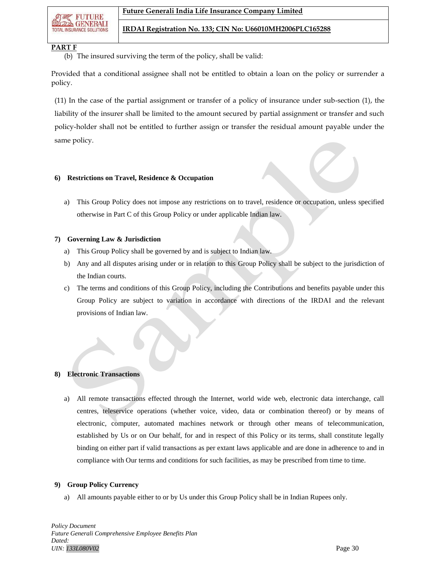FUTURB **GENERALI TOTAL INSURANCE SOLUTIONS** 

## **PART F**

(b) The insured surviving the term of the policy, shall be valid:

Provided that a conditional assignee shall not be entitled to obtain a loan on the policy or surrender a policy.

(11) In the case of the partial assignment or transfer of a policy of insurance under sub-section (1), the liability of the insurer shall be limited to the amount secured by partial assignment or transfer and such policy-holder shall not be entitled to further assign or transfer the residual amount payable under the same policy.

#### **6) Restrictions on Travel, Residence & Occupation**

a) This Group Policy does not impose any restrictions on to travel, residence or occupation, unless specified otherwise in Part C of this Group Policy or under applicable Indian law.

#### **7) Governing Law & Jurisdiction**

- a) This Group Policy shall be governed by and is subject to Indian law.
- b) Any and all disputes arising under or in relation to this Group Policy shall be subject to the jurisdiction of the Indian courts.
- c) The terms and conditions of this Group Policy, including the Contributions and benefits payable under this Group Policy are subject to variation in accordance with directions of the IRDAI and the relevant provisions of Indian law.

## **8) Electronic Transactions**

a) All remote transactions effected through the Internet, world wide web, electronic data interchange, call centres, teleservice operations (whether voice, video, data or combination thereof) or by means of electronic, computer, automated machines network or through other means of telecommunication, established by Us or on Our behalf, for and in respect of this Policy or its terms, shall constitute legally binding on either part if valid transactions as per extant laws applicable and are done in adherence to and in compliance with Our terms and conditions for such facilities, as may be prescribed from time to time.

#### **9) Group Policy Currency**

a) All amounts payable either to or by Us under this Group Policy shall be in Indian Rupees only.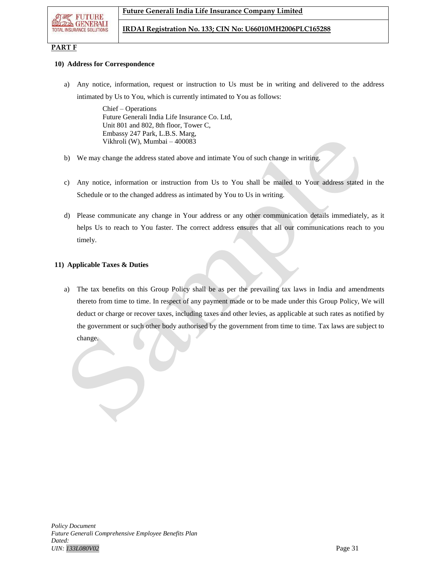

## **PART F**

#### **10) Address for Correspondence**

a) Any notice, information, request or instruction to Us must be in writing and delivered to the address intimated by Us to You, which is currently intimated to You as follows:

> Chief – Operations Future Generali India Life Insurance Co. Ltd, Unit 801 and 802, 8th floor, Tower C, Embassy 247 Park, L.B.S. Marg, Vikhroli (W), Mumbai – 400083

- b) We may change the address stated above and intimate You of such change in writing.
- c) Any notice, information or instruction from Us to You shall be mailed to Your address stated in the Schedule or to the changed address as intimated by You to Us in writing.
- d) Please communicate any change in Your address or any other communication details immediately, as it helps Us to reach to You faster. The correct address ensures that all our communications reach to you timely.

## **11) Applicable Taxes & Duties**

a) The tax benefits on this Group Policy shall be as per the prevailing tax laws in India and amendments thereto from time to time. In respect of any payment made or to be made under this Group Policy, We will deduct or charge or recover taxes, including taxes and other levies, as applicable at such rates as notified by the government or such other body authorised by the government from time to time. Tax laws are subject to change.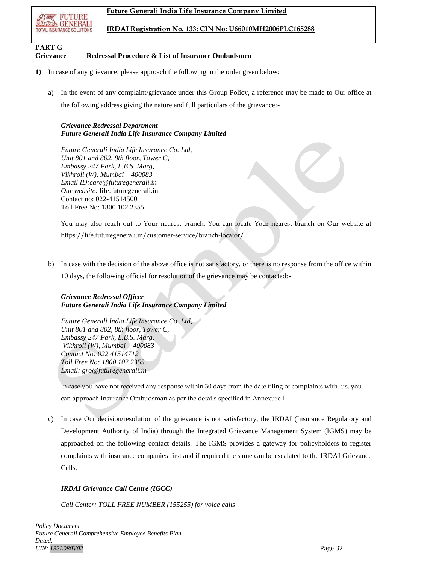

# **PART G**

## **Grievance Redressal Procedure & List of Insurance Ombudsmen**

- **1)** In case of any grievance, please approach the following in the order given below:
	- a) In the event of any complaint/grievance under this Group Policy, a reference may be made to Our office at the following address giving the nature and full particulars of the grievance:-

## *Grievance Redressal Department Future Generali India Life Insurance Company Limited*

*Future Generali India Life Insurance Co. Ltd, Unit 801 and 802, 8th floor, Tower C, Embassy 247 Park, L.B.S. Marg, Vikhroli (W), Mumbai – 400083 Email ID:care@futuregenerali.in Our website:* [life.futuregenerali.in](http://www.futuregenerali.in/) Contact no: 022-41514500 Toll Free No: 1800 102 2355

You may also reach out to Your nearest branch. You can locate Your nearest branch on Our website at https://life.futuregenerali.in/customer-service/branch-locator/

b) In case with the decision of the above office is not satisfactory, or there is no response from the office within 10 days, the following official for resolution of the grievance may be contacted:-

## *Grievance Redressal Officer Future Generali India Life Insurance Company Limited*

*Future Generali India Life Insurance Co. Ltd, Unit 801 and 802, 8th floor, Tower C, Embassy 247 Park, L.B.S. Marg, Vikhroli (W), Mumbai – 400083 Contact No: 022 41514712 Toll Free No: 1800 102 2355 Email: gro@futuregenerali.in*

In case you have not received any response within 30 days from the date filing of complaints with us, you can approach Insurance Ombudsman as per the details specified in Annexure I

c) In case Our decision/resolution of the grievance is not satisfactory, the IRDAI (Insurance Regulatory and Development Authority of India) through the Integrated Grievance Management System (IGMS) may be approached on the following contact details*.* The IGMS provides a gateway for policyholders to register complaints with insurance companies first and if required the same can be escalated to the IRDAI Grievance Cells.

## *IRDAI Grievance Call Centre (IGCC)*

*Call Center: TOLL FREE NUMBER (155255) for voice calls*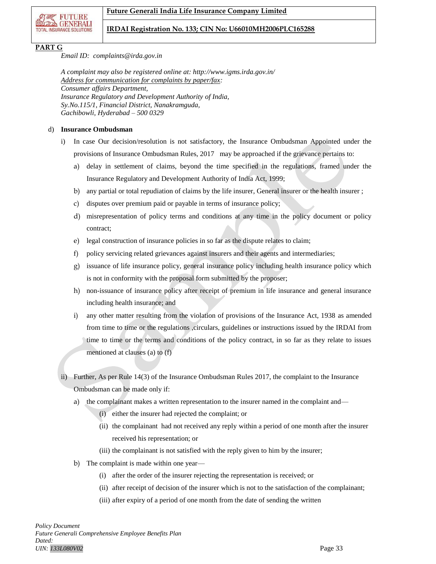

## **PART G**

*Email ID: complaints@irda.gov.in*

*A complaint may also be registered online at: http://www.igms.irda.gov.in/ Address for communication for complaints by paper/fax: Consumer affairs Department, Insurance Regulatory and Development Authority of India, Sy.No.115/1, Financial District, Nanakramguda, Gachibowli, Hyderabad – 500 0329*

## d) **Insurance Ombudsman**

- i) In case Our decision/resolution is not satisfactory, the Insurance Ombudsman Appointed under the provisions of Insurance Ombudsman Rules, 2017 may be approached if the grievance pertains to:
	- a) delay in settlement of claims, beyond the time specified in the regulations, framed under the Insurance Regulatory and Development Authority of India Act, 1999;
	- b) any partial or total repudiation of claims by the life insurer, General insurer or the health insurer ;
	- c) disputes over premium paid or payable in terms of insurance policy;
	- d) misrepresentation of policy terms and conditions at any time in the policy document or policy contract;
	- e) legal construction of insurance policies in so far as the dispute relates to claim;
	- f) policy servicing related grievances against insurers and their agents and intermediaries;
	- g) issuance of life insurance policy, general insurance policy including health insurance policy which is not in conformity with the proposal form submitted by the proposer;
	- h) non-issuance of insurance policy after receipt of premium in life insurance and general insurance including health insurance; and
	- i) any other matter resulting from the violation of provisions of the Insurance Act, 1938 as amended from time to time or the regulations ,circulars, guidelines or instructions issued by the IRDAI from time to time or the terms and conditions of the policy contract, in so far as they relate to issues mentioned at clauses (a) to (f)
- ii) Further, As per Rule 14(3) of the Insurance Ombudsman Rules 2017, the complaint to the Insurance Ombudsman can be made only if:
	- a) the complainant makes a written representation to the insurer named in the complaint and—
		- (i) either the insurer had rejected the complaint; or
		- (ii) the complainant had not received any reply within a period of one month after the insurer received his representation; or
		- (iii) the complainant is not satisfied with the reply given to him by the insurer;
	- b) The complaint is made within one year—
		- (i) after the order of the insurer rejecting the representation is received; or
		- (ii) after receipt of decision of the insurer which is not to the satisfaction of the complainant;
		- (iii) after expiry of a period of one month from the date of sending the written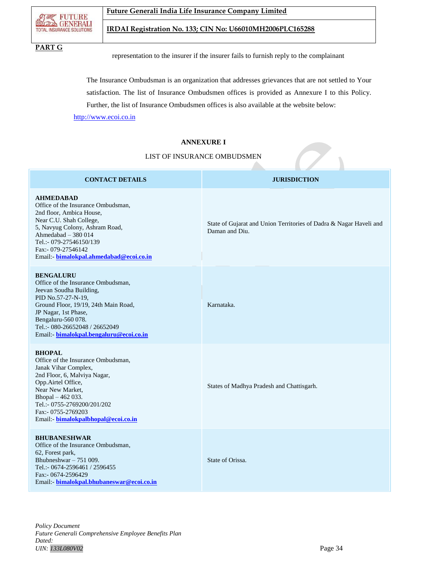

## **PART G**

representation to the insurer if the insurer fails to furnish reply to the complainant

The Insurance Ombudsman is an organization that addresses grievances that are not settled to Your satisfaction. The list of Insurance Ombudsmen offices is provided as Annexure I to this Policy. Further, the list of Insurance Ombudsmen offices is also available at the website below:

Daman and Diu.

Karnataka.

[http://www.ecoi.co.in](http://www.ecoi.co.in/)

## **ANNEXURE I**

## LIST OF INSURANCE OMBUDSMEN

## **CONTACT DETAILS JURISDICTION**

State of Gujarat and Union Territories of Dadra & Nagar Haveli and

#### **AHMEDABAD**

Office of the Insurance Ombudsman, 2nd floor, Ambica House, Near C.U. Shah College, 5, Navyug Colony, Ashram Road, Ahmedabad – 380 014 Tel.:- 079-27546150/139 Fax:- 079-27546142 Email:- **[bimalokpal.ahmedabad@ecoi.co.in](mailto:bimalokpal.ahmedabad@ecoi.co.in)**

#### **BENGALURU**

Office of the Insurance Ombudsman, Jeevan Soudha Building, PID No.57-27-N-19, Ground Floor, 19/19, 24th Main Road, JP Nagar, 1st Phase, Bengaluru-560 078. Tel.:- 080-26652048 / 26652049 Email:- **[bimalokpal.bengaluru@ecoi.co.in](mailto:bimalokpal.bengaluru@ecoi.co.in)**

#### **BHOPAL**

Office of the Insurance Ombudsman, Janak Vihar Complex, 2nd Floor, 6, Malviya Nagar, Opp.Airtel Office, Near New Market, Bhopal – 462 033. Tel.:- 0755-2769200/201/202 Fax:- 0755-2769203 Email:- **[bimalokpalbhopal@ecoi.co.in](mailto:bimalokpalbhopal@ecoi.co.in)**

**BHUBANESHWAR**

Office of the Insurance Ombudsman, 62, Forest park, Bhubneshwar – 751 009. Tel.:- 0674-2596461 / 2596455 Fax:- 0674-2596429 Email:- **[bimalokpal.bhubaneswar@ecoi.co.in](mailto:bimalokpal.bhubaneswar@ecoi.co.in)**

State of Orissa.

States of Madhya Pradesh and Chattisgarh.

*Policy Document Future Generali Comprehensive Employee Benefits Plan Dated: UIN: 133L080V02* Page 34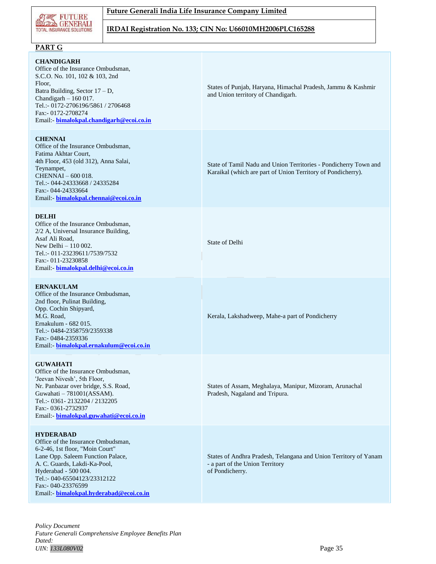

## **Future Generali India Life Insurance Company Limited**

## **IRDAI Registration No. 133; CIN No: U66010MH2006PLC165288**

## **PART G**

#### **CHANDIGARH**

Office of the Insurance Ombudsman, S.C.O. No. 101, 102 & 103, 2nd Floor, Batra Building, Sector 17 – D, Chandigarh – 160 017. Tel.:- 0172-2706196/5861 / 2706468 Fax:- 0172-2708274 Email:- **[bimalokpal.chandigarh@ecoi.co.in](mailto:bimalokpal.chandigarh@ecoi.co.in)**

#### **CHENNAI**

Office of the Insurance Ombudsman, Fatima Akhtar Court, 4th Floor, 453 (old 312), Anna Salai, Teynampet, CHENNAI – 600 018. Tel.:- 044-24333668 / 24335284 Fax:- 044-24333664 Email:- **[bimalokpal.chennai@ecoi.co.in](mailto:bimalokpal.chennai@ecoi.co.in)**

#### **DELHI**

Office of the Insurance Ombudsman, 2/2 A, Universal Insurance Building, Asaf Ali Road, New Delhi – 110 002. Tel.:- 011-23239611/7539/7532 Fax:- 011-23230858 Email:- **[bimalokpal.delhi@ecoi.co.in](mailto:bimalokpal.delhi@ecoi.co.in)**

#### **ERNAKULAM**

Office of the Insurance Ombudsman, 2nd floor, Pulinat Building, Opp. Cochin Shipyard, M.G. Road, Ernakulum - 682 015. Tel.:- 0484-2358759/2359338 Fax:- 0484-2359336 Email:- **[bimalokpal.ernakulum@ecoi.co.in](mailto:bimalokpal.ernakulum@ecoi.co.in)**

#### **GUWAHATI**

Office of the Insurance Ombudsman, 'Jeevan Nivesh', 5th Floor, Nr. Panbazar over bridge, S.S. Road, Guwahati – 781001(ASSAM). Tel.:- 0361- 2132204 / 2132205 Fax:- 0361-2732937 Email:- **[bimalokpal.guwahati@ecoi.co.in](mailto:bimalokpal.guwahati@ecoi.co.in)**

#### **HYDERABAD**

Office of the Insurance Ombudsman, 6-2-46, 1st floor, "Moin Court" Lane Opp. Saleem Function Palace, A. C. Guards, Lakdi-Ka-Pool, Hyderabad - 500 004. Tel.:- 040-65504123/23312122 Fax:- 040-23376599 Email:- **[bimalokpal.hyderabad@ecoi.co.in](mailto:bimalokpal.hyderabad@ecoi.co.in)** States of Punjab, Haryana, Himachal Pradesh, Jammu & Kashmir and Union territory of Chandigarh.

State of Tamil Nadu and Union Territories - Pondicherry Town and Karaikal (which are part of Union Territory of Pondicherry).

State of Delhi

Kerala, Lakshadweep, Mahe-a part of Pondicherry

States of Assam, Meghalaya, Manipur, Mizoram, Arunachal Pradesh, Nagaland and Tripura.

States of Andhra Pradesh, Telangana and Union Territory of Yanam - a part of the Union Territory of Pondicherry.

*Policy Document Future Generali Comprehensive Employee Benefits Plan Dated: UIN: 133L080V02* Page 35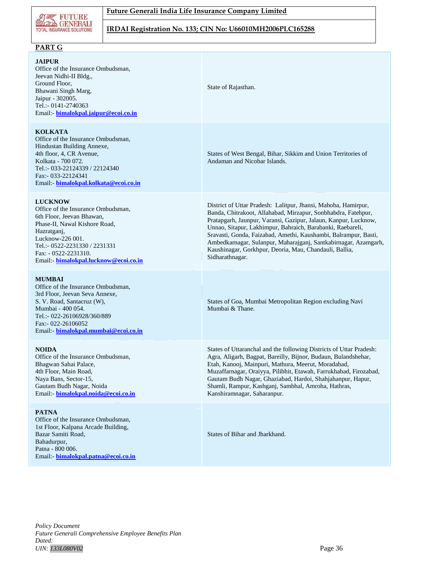

## **Future Generali India Life Insurance Company Limited**

**IRDAI Registration No. 133; CIN No: U66010MH2006PLC165288**

## **PART G**

#### **JAIPUR**

Office of the Insurance Ombudsman, Jeevan Nidhi-II Bldg., Ground Floor, Bhawani Singh Marg, Jaipur - 302005. Tel.:- 0141-2740363 Email:- **[bimalokpal.jaipur@ecoi.co.in](mailto:bimalokpal.jaipur@ecoi.co.in)**

### **KOLKATA**

Office of the Insurance Ombudsman, Hindustan Building Annexe, 4th floor, 4, CR Avenue, Kolkata - 700 072. Tel.:- 033-22124339 / 22124340 Fax:- 033-22124341 Email:- **[bimalokpal.kolkata@ecoi.co.in](mailto:bimalokpal.kolkata@ecoi.co.in)**

## **LUCKNOW**

Office of the Insurance Ombudsman, 6th Floor, Jeevan Bhawan, Phase-II, Nawal Kishore Road, Hazratganj, Lucknow-226 001. Tel.:- 0522-2231330 / 2231331 Fax: - 0522-2231310. Email:- **[bimalokpal.lucknow@ecoi.co.in](mailto:bimalokpal.lucknow@ecoi.co.in)**

#### **MUMBAI**

Office of the Insurance Ombudsman, 3rd Floor, Jeevan Seva Annexe, S. V. Road, Santacruz (W), Mumbai - 400 054. Tel.:- 022-26106928/360/889 Fax:- 022-26106052 Email:- **[bimalokpal.mumbai@ecoi.co.in](mailto:bimalokpal.mumbai@ecoi.co.in)**

## **NOIDA**

Office of the Insurance Ombudsman, Bhagwan Sahai Palace, 4th Floor, Main Road, Naya Bans, Sector-15, Gautam Budh Nagar, Noida Email:- **[bimalokpal.noida@ecoi.co.in](mailto:bimalokpal.noida@ecoi.co.in)**

#### **PATNA**

Office of the Insurance Ombudsman, 1st Floor, Kalpana Arcade Building, Bazar Samiti Road, Bahadurpur, Patna - 800 006. Email:- **[bimalokpal.patna@ecoi.co.in](mailto:bimalokpal.patna@ecoi.co.in)** State of Rajasthan.

States of West Bengal, Bihar, Sikkim and Union Territories of Andaman and Nicobar Islands.

District of Uttar Pradesh: Lalitpur, Jhansi, Mahoba, Hamirpur, Banda, Chitrakoot, Allahabad, Mirzapur, Sonbhabdra, Fatehpur, Pratapgarh, Jaunpur, Varansi, Gazipur, Jalaun, Kanpur, Lucknow, Unnao, Sitapur, Lakhimpur, Bahraich, Barabanki, Raebareli, Sravasti, Gonda, Faizabad, Amethi, Kaushambi, Balrampur, Basti, Ambedkarnagar, Sulanpur, Maharajganj, Santkabirnagar, Azamgarh, Kaushinagar, Gorkhpur, Deoria, Mau, Chandauli, Ballia, Sidharathnagar.

States of Goa, Mumbai Metropolitan Region excluding Navi Mumbai & Thane.

States of Uttaranchal and the following Districts of Uttar Pradesh: Agra, Aligarh, Bagpat, Bareilly, Bijnor, Budaun, Bulandshehar, Etah, Kanooj, Mainpuri, Mathura, Meerut, Moradabad, Muzaffarnagar, Oraiyya, Pilibhit, Etawah, Farrukhabad, Firozabad, Gautam Budh Nagar, Ghaziabad, Hardoi, Shahjahanpur, Hapur, Shamli, Rampur, Kashganj, Sambhal, Amroha, Hathras, Kanshiramnagar, Saharanpur.

States of Bihar and Jharkhand.